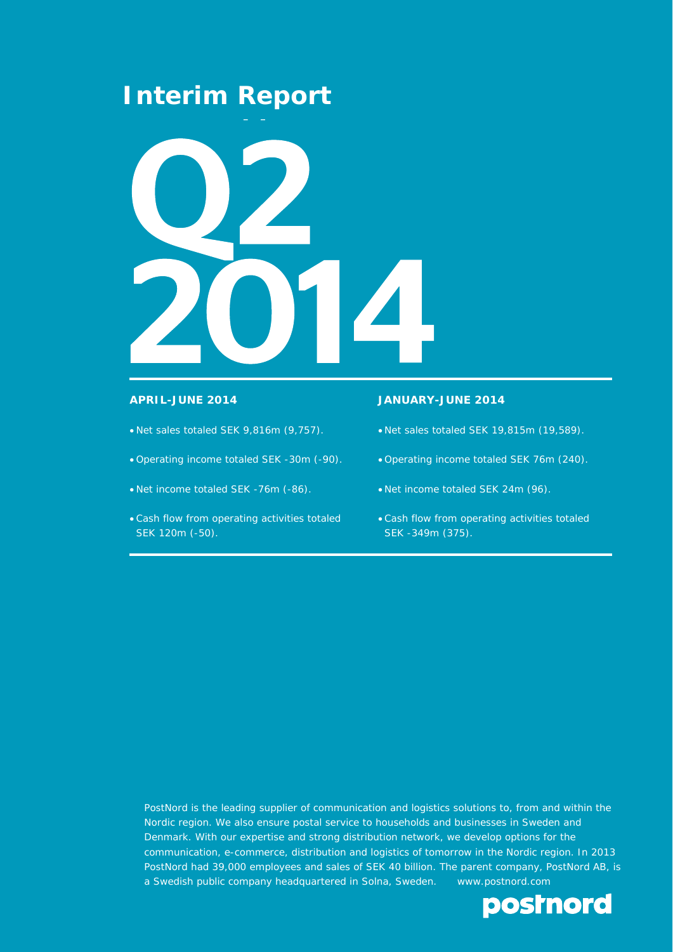## **Interim Report**



- Net sales totaled SEK 9,816m (9,757).
- Operating income totaled SEK -30m (-90).
- Net income totaled SEK -76m (-86).
- Cash flow from operating activities totaled SEK 120m (-50).

### **APRIL-JUNE 2014 JANUARY-JUNE 2014**

- Net sales totaled SEK 19,815m (19,589).
- Operating income totaled SEK 76m (240).
- Net income totaled SEK 24m (96).
- Cash flow from operating activities totaled SEK -349m (375).

PostNord is the leading supplier of communication and logistics solutions to, from and within the Nordic region. We also ensure postal service to households and businesses in Sweden and Denmark. With our expertise and strong distribution network, we develop options for the communication, e-commerce, distribution and logistics of tomorrow in the Nordic region. In 2013 PostNord had 39,000 employees and sales of SEK 40 billion. The parent company, PostNord AB, is a Swedish public company headquartered in Solna, Sweden. www.postnord.com

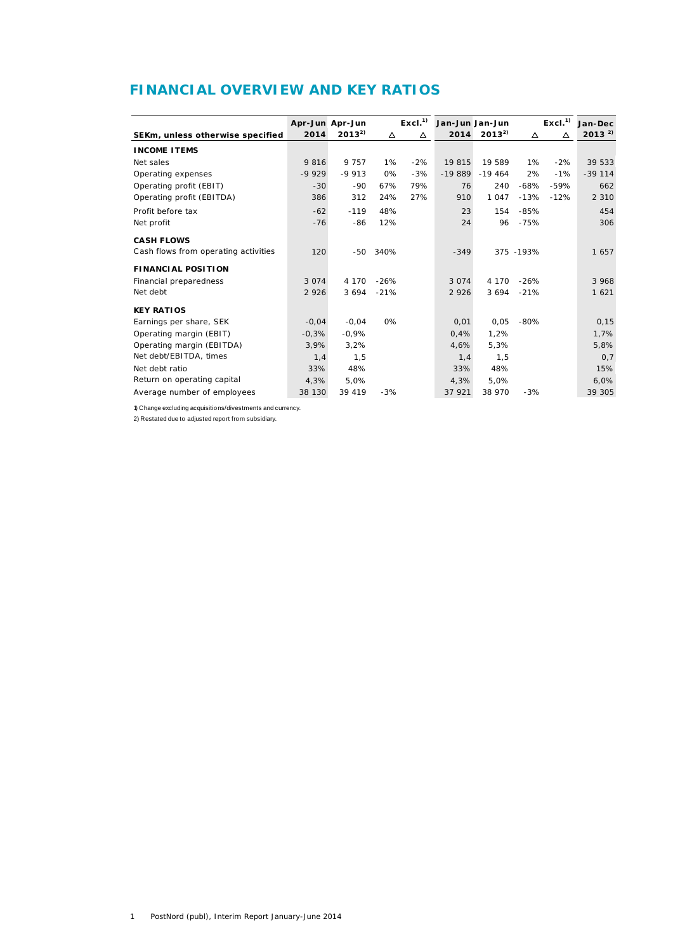## **FINANCIAL OVERVIEW AND KEY RATIOS**

|                                      |         | Apr-Jun Apr-Jun |        | Excl. <sup>1</sup> | Jan-Jun Jan-Jun |            |            | Excl. <sup>1</sup> | Jan-Dec    |
|--------------------------------------|---------|-----------------|--------|--------------------|-----------------|------------|------------|--------------------|------------|
| SEKm, unless otherwise specified     | 2014    | $2013^{2}$      | Δ      | Δ                  | 2014            | $2013^{2}$ | Δ          | Δ                  | $2013^{2}$ |
| <b>INCOME ITEMS</b>                  |         |                 |        |                    |                 |            |            |                    |            |
| Net sales                            | 9816    | 9 7 5 7         | 1%     | $-2%$              | 19 815          | 19 589     | 1%         | $-2%$              | 39 533     |
| Operating expenses                   | $-9929$ | $-9913$         | 0%     | $-3%$              | $-19889$        | $-19464$   | 2%         | $-1%$              | $-39114$   |
| Operating profit (EBIT)              | $-30$   | $-90$           | 67%    | 79%                | 76              | 240        | $-68%$     | $-59%$             | 662        |
| Operating profit (EBITDA)            | 386     | 312             | 24%    | 27%                | 910             | 1 0 4 7    | $-13%$     | $-12%$             | 2 3 1 0    |
| Profit before tax                    | $-62$   | $-119$          | 48%    |                    | 23              | 154        | $-85%$     |                    | 454        |
| Net profit                           | $-76$   | -86             | 12%    |                    | 24              | 96         | $-75%$     |                    | 306        |
| <b>CASH FLOWS</b>                    |         |                 |        |                    |                 |            |            |                    |            |
| Cash flows from operating activities | 120     | $-50$           | 340%   |                    | $-349$          |            | 375 - 193% |                    | 1657       |
| <b>FINANCIAL POSITION</b>            |         |                 |        |                    |                 |            |            |                    |            |
| Financial preparedness               | 3 0 7 4 | 4 1 7 0         | $-26%$ |                    | 3 0 7 4         | 4 1 7 0    | $-26%$     |                    | 3 9 6 8    |
| Net debt                             | 2 9 2 6 | 3 6 9 4         | $-21%$ |                    | 2 9 2 6         | 3 6 9 4    | $-21%$     |                    | 1 6 2 1    |
| <b>KEY RATIOS</b>                    |         |                 |        |                    |                 |            |            |                    |            |
| Earnings per share, SEK              | $-0,04$ | $-0.04$         | 0%     |                    | 0,01            | 0,05       | $-80%$     |                    | 0, 15      |
|                                      |         |                 |        |                    |                 | 1.2%       |            |                    |            |
| Operating margin (EBIT)              | $-0.3%$ | $-0.9%$         |        |                    | 0.4%            |            |            |                    | 1.7%       |
| Operating margin (EBITDA)            | 3,9%    | 3,2%            |        |                    | 4,6%            | 5,3%       |            |                    | 5.8%       |
| Net debt/EBITDA, times               | 1,4     | 1,5             |        |                    | 1,4             | 1,5        |            |                    | 0,7        |
| Net debt ratio                       | 33%     | 48%             |        |                    | 33%             | 48%        |            |                    | 15%        |
| Return on operating capital          | 4,3%    | 5.0%            |        |                    | 4,3%            | 5.0%       |            |                    | 6,0%       |
| Average number of employees          | 38 130  | 39 419          | $-3%$  |                    | 37 921          | 38 970     | $-3%$      |                    | 39 305     |

1) Change excluding acquisitions/divestments and currency.

2) Restated due to adjusted report from subsidiary.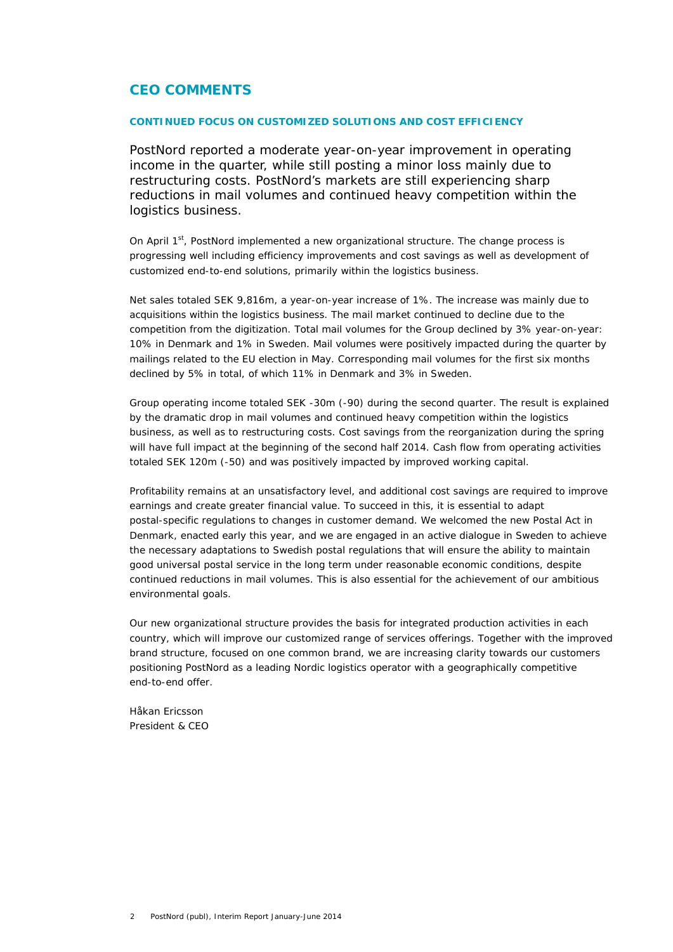### **CEO COMMENTS**

### **CONTINUED FOCUS ON CUSTOMIZED SOLUTIONS AND COST EFFICIENCY**

PostNord reported a moderate year-on-year improvement in operating income in the quarter, while still posting a minor loss mainly due to restructuring costs. PostNord's markets are still experiencing sharp reductions in mail volumes and continued heavy competition within the logistics business.

On April  $1<sup>st</sup>$ , PostNord implemented a new organizational structure. The change process is progressing well including efficiency improvements and cost savings as well as development of customized end-to-end solutions, primarily within the logistics business.

Net sales totaled SEK 9,816m, a year-on-year increase of 1%. The increase was mainly due to acquisitions within the logistics business. The mail market continued to decline due to the competition from the digitization. Total mail volumes for the Group declined by 3% year-on-year: 10% in Denmark and 1% in Sweden. Mail volumes were positively impacted during the quarter by mailings related to the EU election in May. Corresponding mail volumes for the first six months declined by 5% in total, of which 11% in Denmark and 3% in Sweden.

Group operating income totaled SEK -30m (-90) during the second quarter. The result is explained by the dramatic drop in mail volumes and continued heavy competition within the logistics business, as well as to restructuring costs. Cost savings from the reorganization during the spring will have full impact at the beginning of the second half 2014. Cash flow from operating activities totaled SEK 120m (-50) and was positively impacted by improved working capital.

Profitability remains at an unsatisfactory level, and additional cost savings are required to improve earnings and create greater financial value. To succeed in this, it is essential to adapt postal-specific regulations to changes in customer demand. We welcomed the new Postal Act in Denmark, enacted early this year, and we are engaged in an active dialogue in Sweden to achieve the necessary adaptations to Swedish postal regulations that will ensure the ability to maintain good universal postal service in the long term under reasonable economic conditions, despite continued reductions in mail volumes. This is also essential for the achievement of our ambitious environmental goals.

Our new organizational structure provides the basis for integrated production activities in each country, which will improve our customized range of services offerings. Together with the improved brand structure, focused on one common brand, we are increasing clarity towards our customers positioning PostNord as a leading Nordic logistics operator with a geographically competitive end-to-end offer.

*Håkan Ericsson President & CEO*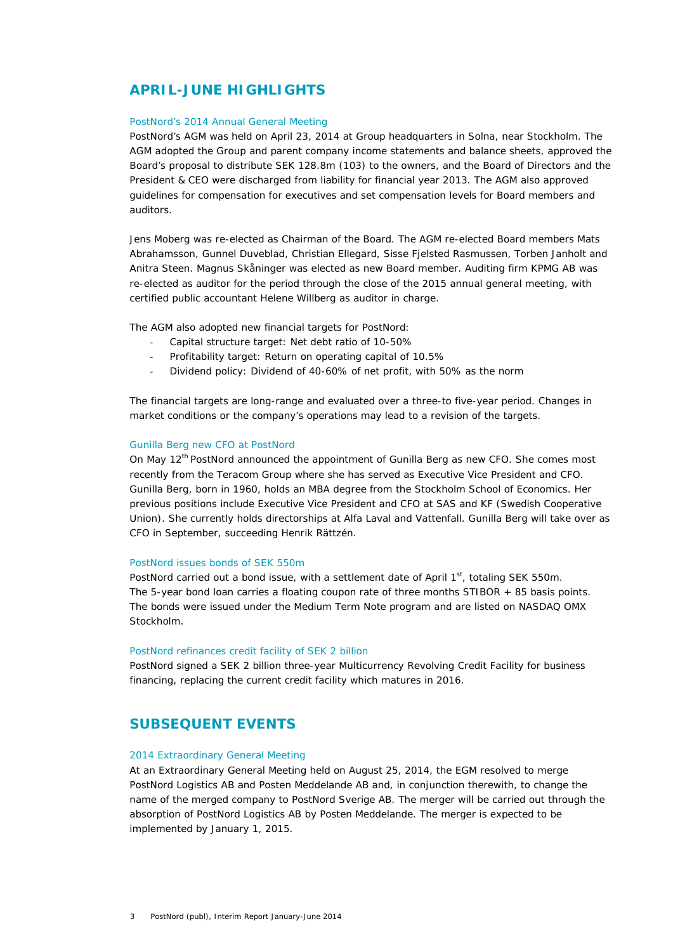### **APRIL-JUNE HIGHLIGHTS**

### PostNord's 2014 Annual General Meeting

PostNord's AGM was held on April 23, 2014 at Group headquarters in Solna, near Stockholm. The AGM adopted the Group and parent company income statements and balance sheets, approved the Board's proposal to distribute SEK 128.8m (103) to the owners, and the Board of Directors and the President & CEO were discharged from liability for financial year 2013. The AGM also approved guidelines for compensation for executives and set compensation levels for Board members and auditors.

Jens Moberg was re-elected as Chairman of the Board. The AGM re-elected Board members Mats Abrahamsson, Gunnel Duveblad, Christian Ellegard, Sisse Fjelsted Rasmussen, Torben Janholt and Anitra Steen. Magnus Skåninger was elected as new Board member. Auditing firm KPMG AB was re-elected as auditor for the period through the close of the 2015 annual general meeting, with certified public accountant Helene Willberg as auditor in charge.

The AGM also adopted new financial targets for PostNord:

- ‐ Capital structure target: Net debt ratio of 10-50%
- ‐ Profitability target: Return on operating capital of 10.5%
- ‐ Dividend policy: Dividend of 40-60% of net profit, with 50% as the norm

The financial targets are long-range and evaluated over a three-to five-year period. Changes in market conditions or the company's operations may lead to a revision of the targets.

#### Gunilla Berg new CFO at PostNord

On May  $12^{th}$  PostNord announced the appointment of Gunilla Berg as new CFO. She comes most recently from the Teracom Group where she has served as Executive Vice President and CFO. Gunilla Berg, born in 1960, holds an MBA degree from the Stockholm School of Economics. Her previous positions include Executive Vice President and CFO at SAS and KF (Swedish Cooperative Union). She currently holds directorships at Alfa Laval and Vattenfall. Gunilla Berg will take over as CFO in September, succeeding Henrik Rättzén.

### PostNord issues bonds of SEK 550m

PostNord carried out a bond issue, with a settlement date of April  $1<sup>st</sup>$ , totaling SEK 550m. The 5-year bond loan carries a floating coupon rate of three months STIBOR + 85 basis points. The bonds were issued under the Medium Term Note program and are listed on NASDAQ OMX Stockholm.

#### PostNord refinances credit facility of SEK 2 billion

PostNord signed a SEK 2 billion three-year Multicurrency Revolving Credit Facility for business financing, replacing the current credit facility which matures in 2016.

### **SUBSEQUENT EVENTS**

### 2014 Extraordinary General Meeting

At an Extraordinary General Meeting held on August 25, 2014, the EGM resolved to merge PostNord Logistics AB and Posten Meddelande AB and, in conjunction therewith, to change the name of the merged company to PostNord Sverige AB. The merger will be carried out through the absorption of PostNord Logistics AB by Posten Meddelande. The merger is expected to be implemented by January 1, 2015.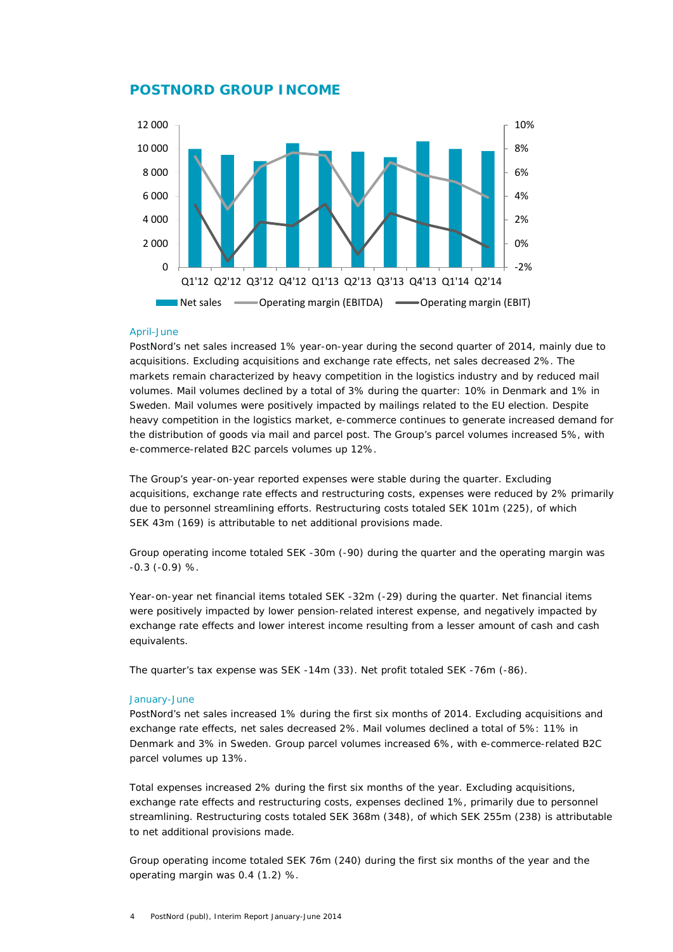### **POSTNORD GROUP INCOME**



#### April-June

PostNord's net sales increased 1% year-on-year during the second quarter of 2014, mainly due to acquisitions. Excluding acquisitions and exchange rate effects, net sales decreased 2%. The markets remain characterized by heavy competition in the logistics industry and by reduced mail volumes. Mail volumes declined by a total of 3% during the quarter: 10% in Denmark and 1% in Sweden. Mail volumes were positively impacted by mailings related to the EU election. Despite heavy competition in the logistics market, e-commerce continues to generate increased demand for the distribution of goods via mail and parcel post. The Group's parcel volumes increased 5%, with e-commerce-related B2C parcels volumes up 12%.

The Group's year-on-year reported expenses were stable during the quarter. Excluding acquisitions, exchange rate effects and restructuring costs, expenses were reduced by 2% primarily due to personnel streamlining efforts. Restructuring costs totaled SEK 101m (225), of which SEK 43m (169) is attributable to net additional provisions made.

Group operating income totaled SEK -30m (-90) during the quarter and the operating margin was -0.3 (-0.9) %.

Year-on-year net financial items totaled SEK -32m (-29) during the quarter. Net financial items were positively impacted by lower pension-related interest expense, and negatively impacted by exchange rate effects and lower interest income resulting from a lesser amount of cash and cash equivalents.

The quarter's tax expense was SEK -14m (33). Net profit totaled SEK -76m (-86).

#### January-June

PostNord's net sales increased 1% during the first six months of 2014. Excluding acquisitions and exchange rate effects, net sales decreased 2%. Mail volumes declined a total of 5%: 11% in Denmark and 3% in Sweden. Group parcel volumes increased 6%, with e-commerce-related B2C parcel volumes up 13%.

Total expenses increased 2% during the first six months of the year. Excluding acquisitions, exchange rate effects and restructuring costs, expenses declined 1%, primarily due to personnel streamlining. Restructuring costs totaled SEK 368m (348), of which SEK 255m (238) is attributable to net additional provisions made.

Group operating income totaled SEK 76m (240) during the first six months of the year and the operating margin was 0.4 (1.2) %.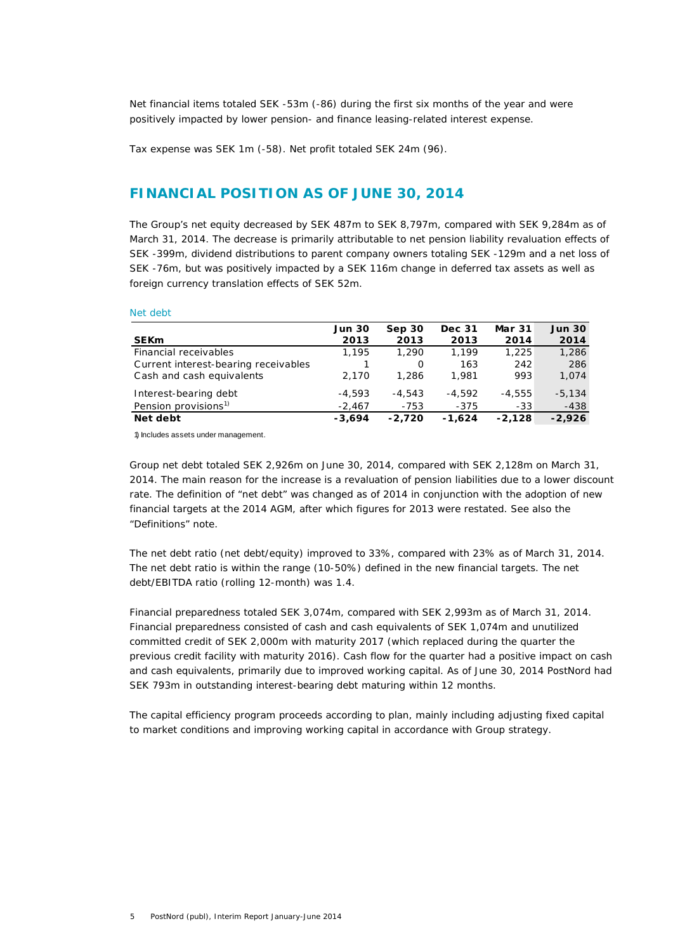Net financial items totaled SEK -53m (-86) during the first six months of the year and were positively impacted by lower pension- and finance leasing-related interest expense.

Tax expense was SEK 1m (-58). Net profit totaled SEK 24m (96).

### **FINANCIAL POSITION AS OF JUNE 30, 2014**

The Group's net equity decreased by SEK 487m to SEK 8,797m, compared with SEK 9,284m as of March 31, 2014. The decrease is primarily attributable to net pension liability revaluation effects of SEK -399m, dividend distributions to parent company owners totaling SEK -129m and a net loss of SEK -76m, but was positively impacted by a SEK 116m change in deferred tax assets as well as foreign currency translation effects of SEK 52m.

Net debt

|                                      | <b>Jun 30</b> | Sep 30   | <b>Dec 31</b> | <b>Mar 31</b> | <b>Jun 30</b> |
|--------------------------------------|---------------|----------|---------------|---------------|---------------|
| <b>SEKm</b>                          | 2013          | 2013     | 2013          | 2014          | 2014          |
| Financial receivables                | 1.195         | 1,290    | 1.199         | 1,225         | 1,286         |
| Current interest-bearing receivables |               | 0        | 163           | 242           | 286           |
| Cash and cash equivalents            | 2.170         | 1,286    | 1.981         | 993           | 1,074         |
| Interest-bearing debt                | $-4.593$      | $-4.543$ | $-4.592$      | $-4.555$      | $-5.134$      |
| Pension provisions <sup>1)</sup>     | $-2.467$      | $-753$   | $-375$        | $-33$         | $-438$        |
| Net debt                             | $-3.694$      | $-2,720$ | $-1.624$      | $-2,128$      | $-2,926$      |

1) Includes assets under management.

Group net debt totaled SEK 2,926m on June 30, 2014, compared with SEK 2,128m on March 31, 2014. The main reason for the increase is a revaluation of pension liabilities due to a lower discount rate. The definition of "net debt" was changed as of 2014 in conjunction with the adoption of new financial targets at the 2014 AGM, after which figures for 2013 were restated. See also the "Definitions" note.

The net debt ratio (net debt/equity) improved to 33%, compared with 23% as of March 31, 2014. The net debt ratio is within the range (10-50%) defined in the new financial targets. The net debt/EBITDA ratio (rolling 12-month) was 1.4.

Financial preparedness totaled SEK 3,074m, compared with SEK 2,993m as of March 31, 2014. Financial preparedness consisted of cash and cash equivalents of SEK 1,074m and unutilized committed credit of SEK 2,000m with maturity 2017 (which replaced during the quarter the previous credit facility with maturity 2016). Cash flow for the quarter had a positive impact on cash and cash equivalents, primarily due to improved working capital. As of June 30, 2014 PostNord had SEK 793m in outstanding interest-bearing debt maturing within 12 months.

The capital efficiency program proceeds according to plan, mainly including adjusting fixed capital to market conditions and improving working capital in accordance with Group strategy.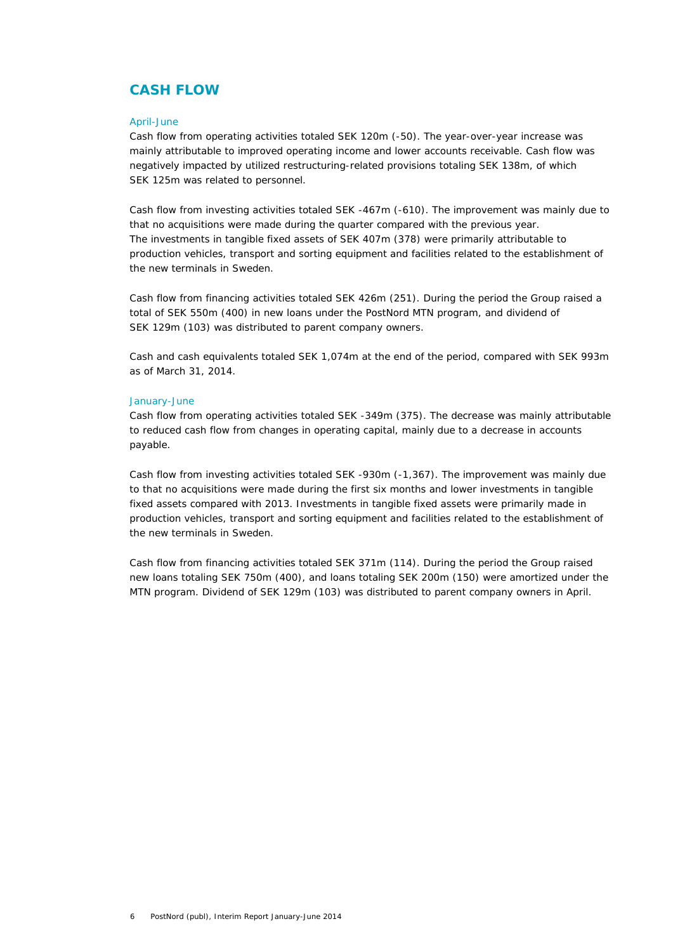### **CASH FLOW**

#### April-June

Cash flow from operating activities totaled SEK 120m (-50). The year-over-year increase was mainly attributable to improved operating income and lower accounts receivable. Cash flow was negatively impacted by utilized restructuring-related provisions totaling SEK 138m, of which SEK 125m was related to personnel.

Cash flow from investing activities totaled SEK -467m (-610). The improvement was mainly due to that no acquisitions were made during the quarter compared with the previous year. The investments in tangible fixed assets of SEK 407m (378) were primarily attributable to production vehicles, transport and sorting equipment and facilities related to the establishment of the new terminals in Sweden.

Cash flow from financing activities totaled SEK 426m (251). During the period the Group raised a total of SEK 550m (400) in new loans under the PostNord MTN program, and dividend of SEK 129m (103) was distributed to parent company owners.

Cash and cash equivalents totaled SEK 1,074m at the end of the period, compared with SEK 993m as of March 31, 2014.

### January-June

Cash flow from operating activities totaled SEK -349m (375). The decrease was mainly attributable to reduced cash flow from changes in operating capital, mainly due to a decrease in accounts payable.

Cash flow from investing activities totaled SEK -930m (-1,367). The improvement was mainly due to that no acquisitions were made during the first six months and lower investments in tangible fixed assets compared with 2013. Investments in tangible fixed assets were primarily made in production vehicles, transport and sorting equipment and facilities related to the establishment of the new terminals in Sweden.

Cash flow from financing activities totaled SEK 371m (114). During the period the Group raised new loans totaling SEK 750m (400), and loans totaling SEK 200m (150) were amortized under the MTN program. Dividend of SEK 129m (103) was distributed to parent company owners in April.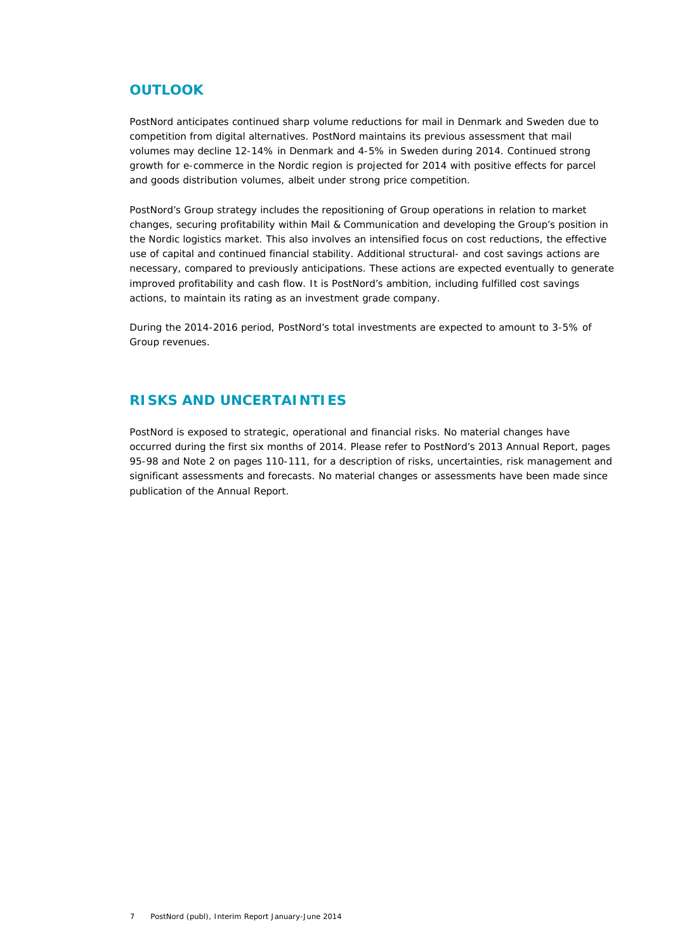### **OUTLOOK**

PostNord anticipates continued sharp volume reductions for mail in Denmark and Sweden due to competition from digital alternatives. PostNord maintains its previous assessment that mail volumes may decline 12-14% in Denmark and 4-5% in Sweden during 2014. Continued strong growth for e-commerce in the Nordic region is projected for 2014 with positive effects for parcel and goods distribution volumes, albeit under strong price competition.

PostNord's Group strategy includes the repositioning of Group operations in relation to market changes, securing profitability within Mail & Communication and developing the Group's position in the Nordic logistics market. This also involves an intensified focus on cost reductions, the effective use of capital and continued financial stability. Additional structural- and cost savings actions are necessary, compared to previously anticipations. These actions are expected eventually to generate improved profitability and cash flow. It is PostNord's ambition, including fulfilled cost savings actions, to maintain its rating as an investment grade company.

During the 2014-2016 period, PostNord's total investments are expected to amount to 3-5% of Group revenues.

### **RISKS AND UNCERTAINTIES**

PostNord is exposed to strategic, operational and financial risks. No material changes have occurred during the first six months of 2014. Please refer to PostNord's 2013 Annual Report, pages 95-98 and Note 2 on pages 110-111, for a description of risks, uncertainties, risk management and significant assessments and forecasts. No material changes or assessments have been made since publication of the Annual Report.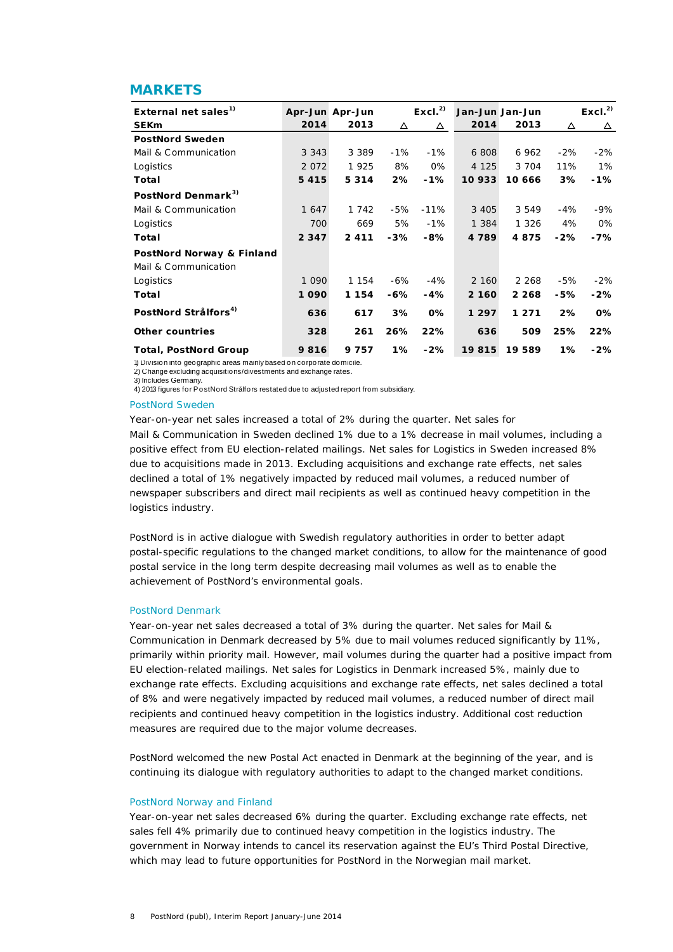### **MARKETS**

| External net sales <sup>1)</sup> |         | Apr-Jun Apr-Jun |        | Excl. <sup>2</sup> | Jan-Jun Jan-Jun |         |        | Excl. <sup>2</sup> |
|----------------------------------|---------|-----------------|--------|--------------------|-----------------|---------|--------|--------------------|
| <b>SEKm</b>                      | 2014    | 2013            | Δ      | Δ                  | 2014            | 2013    | Δ      | Δ                  |
| <b>PostNord Sweden</b>           |         |                 |        |                    |                 |         |        |                    |
| Mail & Communication             | 3 3 4 3 | 3 3 8 9         | $-1%$  | $-1%$              | 6 808           | 6 9 6 2 | $-2%$  | $-2\%$             |
| Logistics                        | 2 0 7 2 | 1925            | 8%     | 0%                 | 4 1 2 5         | 3 7 0 4 | 11%    | $1\%$              |
| Total                            | 5 4 1 5 | 5 3 1 4         | 2%     | $-1%$              | 10 933          | 10 666  | 3%     | $-1%$              |
| PostNord Denmark <sup>3)</sup>   |         |                 |        |                    |                 |         |        |                    |
| Mail & Communication             | 1 647   | 1 742           | -5%    | $-11\%$            | 3 4 0 5         | 3 5 4 9 | $-4%$  | -9%                |
| Logistics                        | 700     | 669             | 5%     | $-1%$              | 1 3 8 4         | 1 3 2 6 | 4%     | 0%                 |
| Total                            | 2 3 4 7 | 2 4 1 1         | -3%    | $-8%$              | 4 7 8 9         | 4875    | $-2\%$ | $-7%$              |
| PostNord Norway & Finland        |         |                 |        |                    |                 |         |        |                    |
| Mail & Communication             |         |                 |        |                    |                 |         |        |                    |
| Logistics                        | 1 0 9 0 | 1 1 5 4         | $-6\%$ | $-4%$              | 2 160           | 2 2 6 8 | $-5%$  | $-2\%$             |
| Total                            | 1090    | 1 1 5 4         | -6%    | $-4%$              | 2 160           | 2 2 6 8 | $-5%$  | $-2\%$             |
| PostNord Strålfors <sup>4)</sup> | 636     | 617             | 3%     | $0\%$              | 1 297           | 1 2 7 1 | 2%     | $0\%$              |
| <b>Other countries</b>           | 328     | 261             | 26%    | 22%                | 636             | 509     | 25%    | 22%                |
| <b>Total, PostNord Group</b>     | 9816    | 9 7 5 7         | 1%     | $-2%$              | 19815           | 19 589  | $1\%$  | $-2%$              |

1) Division into geographic areas mainly based on corporate domicile. 2) Change excluding acquisitions/divestments and exchange rates.

3) Includes Germany.

4) 2013 figures for PostNord Strålfors restated due to adjusted report from subsidiary.

#### PostNord Sweden

Year-on-year net sales increased a total of 2% during the quarter. Net sales for Mail & Communication in Sweden declined 1% due to a 1% decrease in mail volumes, including a positive effect from EU election-related mailings. Net sales for Logistics in Sweden increased 8% due to acquisitions made in 2013. Excluding acquisitions and exchange rate effects, net sales declined a total of 1% negatively impacted by reduced mail volumes, a reduced number of newspaper subscribers and direct mail recipients as well as continued heavy competition in the logistics industry.

PostNord is in active dialogue with Swedish regulatory authorities in order to better adapt postal-specific regulations to the changed market conditions, to allow for the maintenance of good postal service in the long term despite decreasing mail volumes as well as to enable the achievement of PostNord's environmental goals.

#### PostNord Denmark

Year-on-year net sales decreased a total of 3% during the quarter. Net sales for Mail & Communication in Denmark decreased by 5% due to mail volumes reduced significantly by 11%, primarily within priority mail. However, mail volumes during the quarter had a positive impact from EU election-related mailings. Net sales for Logistics in Denmark increased 5%, mainly due to exchange rate effects. Excluding acquisitions and exchange rate effects, net sales declined a total of 8% and were negatively impacted by reduced mail volumes, a reduced number of direct mail recipients and continued heavy competition in the logistics industry. Additional cost reduction measures are required due to the major volume decreases.

PostNord welcomed the new Postal Act enacted in Denmark at the beginning of the year, and is continuing its dialogue with regulatory authorities to adapt to the changed market conditions.

#### PostNord Norway and Finland

Year-on-year net sales decreased 6% during the quarter. Excluding exchange rate effects, net sales fell 4% primarily due to continued heavy competition in the logistics industry. The government in Norway intends to cancel its reservation against the EU's Third Postal Directive, which may lead to future opportunities for PostNord in the Norwegian mail market.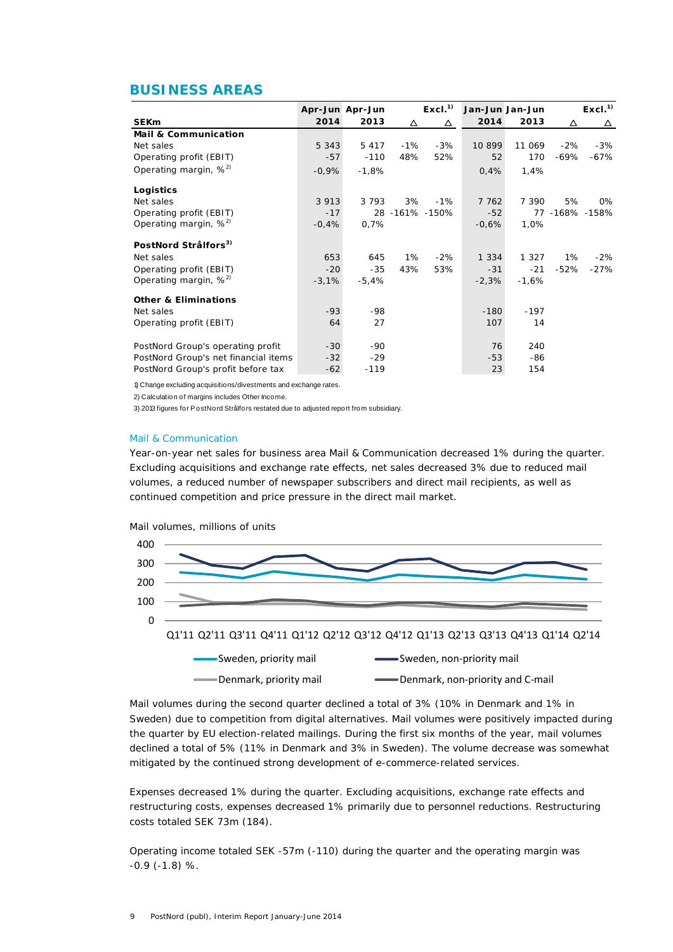### **BUSINESS AREAS**

|                                      |         | Apr-Jun Apr-Jun |       | Excl. <sup>1</sup> |         | Jan-Jun Jan-Jun |        | Excl. <sup>1</sup> |
|--------------------------------------|---------|-----------------|-------|--------------------|---------|-----------------|--------|--------------------|
| <b>SEKm</b>                          | 2014    | 2013            | Δ     | △                  | 2014    | 2013            | Δ      | Δ                  |
| <b>Mail &amp; Communication</b>      |         |                 |       |                    |         |                 |        |                    |
| Net sales                            | 5 3 4 3 | 5 4 1 7         | $-1%$ | $-3%$              | 10 899  | 11 069          | $-2%$  | $-3%$              |
| Operating profit (EBIT)              | $-57$   | $-110$          | 48%   | 52%                | 52      | 170             | -69%   | -67%               |
| Operating margin, $\%^{2}$           | $-0.9%$ | $-1,8%$         |       |                    | 0,4%    | 1,4%            |        |                    |
| Logistics                            |         |                 |       |                    |         |                 |        |                    |
| Net sales                            | 3 9 1 3 | 3 7 9 3         | 3%    | $-1%$              | 7 762   | 7 3 9 0         | 5%     | 0%                 |
| Operating profit (EBIT)              | $-17$   |                 |       | 28 -161% -150%     | $-52$   |                 |        | 77 -168% -158%     |
| Operating margin, $\frac{2}{3}$      | $-0,4%$ | 0.7%            |       |                    | $-0.6%$ | 1,0%            |        |                    |
| PostNord Strålfors <sup>3)</sup>     |         |                 |       |                    |         |                 |        |                    |
| Net sales                            | 653     | 645             | 1%    | $-2%$              | 1 3 3 4 | 1 3 2 7         | $1\%$  | $-2\%$             |
| Operating profit (EBIT)              | $-20$   | $-35$           | 43%   | 53%                | $-31$   | $-21$           | $-52%$ | -27%               |
| Operating margin, $\%^{2}$           | $-3,1%$ | $-5.4%$         |       |                    | $-2,3%$ | $-1,6%$         |        |                    |
| <b>Other &amp; Eliminations</b>      |         |                 |       |                    |         |                 |        |                    |
| Net sales                            | $-93$   | -98             |       |                    | $-180$  | $-197$          |        |                    |
| Operating profit (EBIT)              | 64      | 27              |       |                    | 107     | 14              |        |                    |
| PostNord Group's operating profit    | $-30$   | -90             |       |                    | 76      | 240             |        |                    |
| PostNord Group's net financial items | $-32$   | $-29$           |       |                    | $-53$   | -86             |        |                    |
| PostNord Group's profit before tax   | $-62$   | $-119$          |       |                    | 23      | 154             |        |                    |

1) Change excluding acquisitions/divestments and exchange rates.

2) Calculation of margins includes Other Income.

3) 2013 figures for PostNord Strålfors restated due to adjusted report from subsidiary.

### Mail & Communication

Year-on-year net sales for business area Mail & Communication decreased 1% during the quarter. Excluding acquisitions and exchange rate effects, net sales decreased 3% due to reduced mail volumes, a reduced number of newspaper subscribers and direct mail recipients, as well as continued competition and price pressure in the direct mail market.



Mail volumes during the second quarter declined a total of 3% (10% in Denmark and 1% in Sweden) due to competition from digital alternatives. Mail volumes were positively impacted during the quarter by EU election-related mailings. During the first six months of the year, mail volumes declined a total of 5% (11% in Denmark and 3% in Sweden). The volume decrease was somewhat mitigated by the continued strong development of e-commerce-related services.

Expenses decreased 1% during the quarter. Excluding acquisitions, exchange rate effects and restructuring costs, expenses decreased 1% primarily due to personnel reductions. Restructuring costs totaled SEK 73m (184).

Operating income totaled SEK -57m (-110) during the quarter and the operating margin was -0.9 (-1.8) %.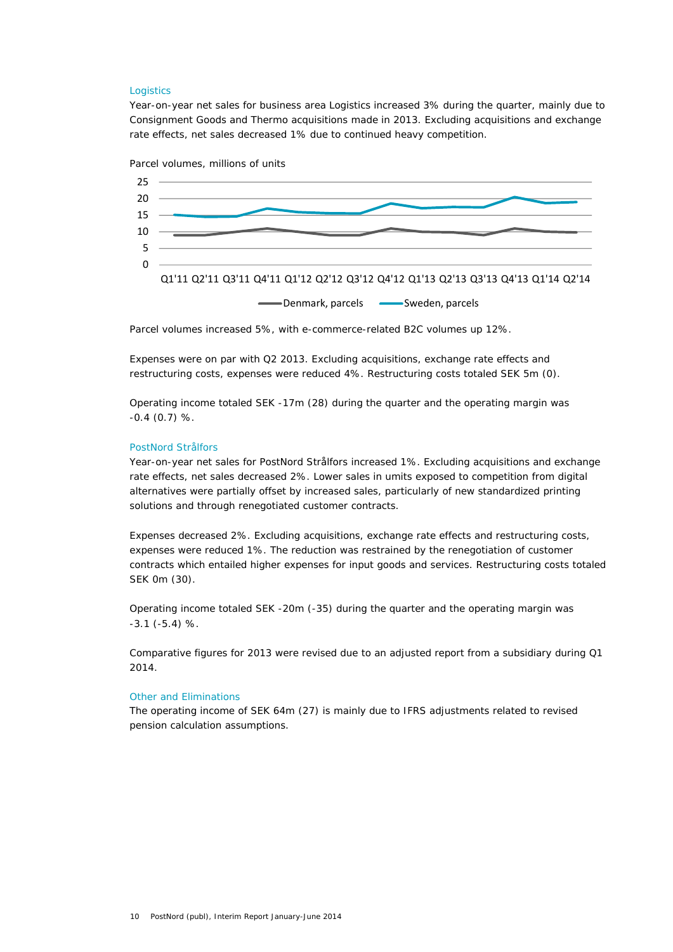#### **Logistics**

Year-on-year net sales for business area Logistics increased 3% during the quarter, mainly due to Consignment Goods and Thermo acquisitions made in 2013. Excluding acquisitions and exchange rate effects, net sales decreased 1% due to continued heavy competition.





Parcel volumes increased 5%, with e-commerce-related B2C volumes up 12%.

Expenses were on par with Q2 2013. Excluding acquisitions, exchange rate effects and restructuring costs, expenses were reduced 4%. Restructuring costs totaled SEK 5m (0).

Operating income totaled SEK -17m (28) during the quarter and the operating margin was  $-0.4$  (0.7) %.

### PostNord Strålfors

Year-on-year net sales for PostNord Strålfors increased 1%. Excluding acquisitions and exchange rate effects, net sales decreased 2%. Lower sales in umits exposed to competition from digital alternatives were partially offset by increased sales, particularly of new standardized printing solutions and through renegotiated customer contracts.

Expenses decreased 2%. Excluding acquisitions, exchange rate effects and restructuring costs, expenses were reduced 1%. The reduction was restrained by the renegotiation of customer contracts which entailed higher expenses for input goods and services. Restructuring costs totaled SEK 0m (30).

Operating income totaled SEK -20m (-35) during the quarter and the operating margin was -3.1 (-5.4) %.

Comparative figures for 2013 were revised due to an adjusted report from a subsidiary during Q1 2014.

#### Other and Eliminations

The operating income of SEK 64m (27) is mainly due to IFRS adjustments related to revised pension calculation assumptions.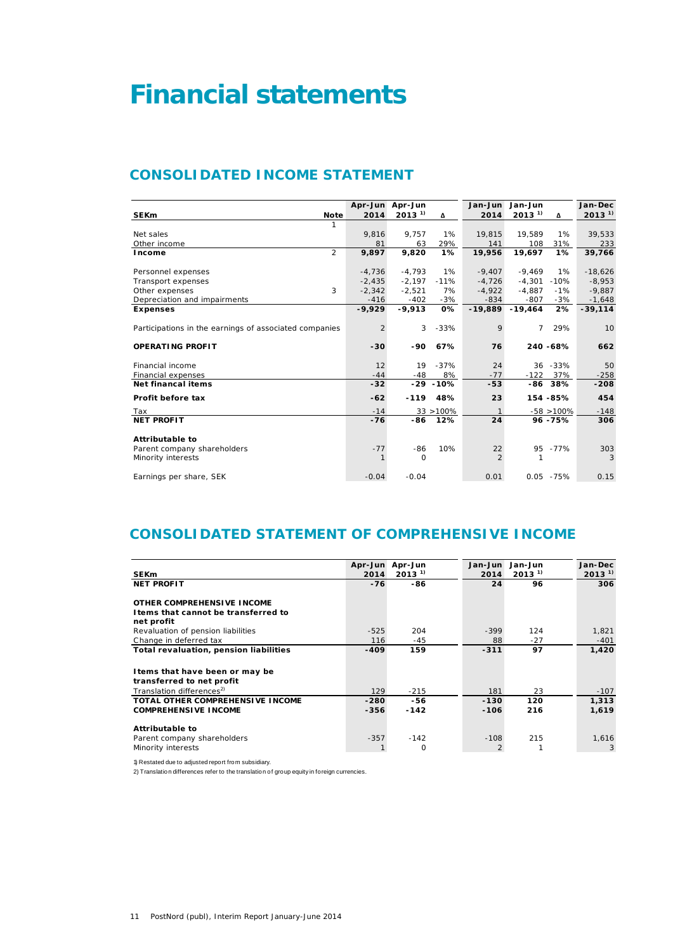# **Financial statements**

### **CONSOLIDATED INCOME STATEMENT**

|                                                        |          | Apr-Jun Apr-Jun |              | Jan-Jun        | Jan-Jun     |               | Jan-Dec     |
|--------------------------------------------------------|----------|-----------------|--------------|----------------|-------------|---------------|-------------|
| <b>SEKm</b><br><b>Note</b>                             | 2014     | $2013^{11}$     | Δ            | 2014           | $2013^{11}$ | Δ             | $2013^{11}$ |
|                                                        |          |                 |              |                |             |               |             |
| Net sales                                              | 9.816    | 9.757           | 1%           | 19,815         | 19.589      | 1%            | 39,533      |
| Other income                                           | 81       | 63              | 29%          | 141            | 108         | 31%           | 233         |
| 2<br>Income                                            | 9,897    | 9,820           | 1%           | 19,956         | 19,697      | 1%            | 39,766      |
|                                                        |          |                 |              |                |             |               |             |
| Personnel expenses                                     | $-4,736$ | $-4.793$        | $1\%$        | $-9.407$       | $-9.469$    | 1%            | $-18,626$   |
| Transport expenses                                     | $-2.435$ | $-2.197$        | $-11%$       | $-4.726$       | $-4.301$    | $-10%$        | $-8,953$    |
| 3<br>Other expenses                                    | $-2.342$ | $-2.521$        | 7%           | $-4.922$       | $-4.887$    | $-1%$         | $-9,887$    |
| Depreciation and impairments                           | $-416$   | $-402$          | $-3%$        | $-834$         | $-807$      | $-3%$         | $-1,648$    |
| <b>Expenses</b>                                        | $-9,929$ | $-9,913$        | 0%           | $-19,889$      | $-19,464$   | 2%            | $-39,114$   |
| Participations in the earnings of associated companies | 2        | 3               | $-33%$       | 9              | 7           | 29%           | 10          |
| <b>OPERATING PROFIT</b>                                | $-30$    | -90             | 67%          | 76             |             | 240 - 68%     | 662         |
| Financial income                                       | 12       | 19              | $-37%$       | 24             |             | 36 - 33%      | 50          |
| Financial expenses                                     | $-44$    | $-48$           | 8%           | $-77$          | $-122$      | 37%           | $-258$      |
| <b>Net financal items</b>                              | $-32$    |                 | $-29 - 10%$  | $-53$          |             | -86 38%       | $-208$      |
| Profit before tax                                      | $-62$    | $-119$          | 48%          | 23             |             | 154 - 85%     | 454         |
| Tax                                                    | $-14$    |                 | $33 > 100\%$ |                |             | $-58 > 100\%$ | $-148$      |
| <b>NET PROFIT</b>                                      | $-76$    | -86             | 12%          | 24             |             | 96 - 75%      | 306         |
| Attributable to<br>Parent company shareholders         | $-77$    | -86             | 10%          | 22             |             | 95 - 77%      | 303         |
| Minority interests                                     |          | 0               |              | $\overline{2}$ | 1           |               | 3           |
| Earnings per share, SEK                                | $-0.04$  | $-0.04$         |              | 0.01           |             | $0.05 - 75%$  | 0.15        |

### **CONSOLIDATED STATEMENT OF COMPREHENSIVE INCOME**

|                                         |        | Apr-Jun Apr-Jun | Jan-Jun |        | Jan-Jun    | Jan-Dec    |
|-----------------------------------------|--------|-----------------|---------|--------|------------|------------|
| <b>SEKm</b>                             | 2014   | $2013^{1}$      |         | 2014   | $2013^{1}$ | $2013^{1}$ |
| <b>NET PROFIT</b>                       | $-76$  | -86             |         | 24     | 96         | 306        |
|                                         |        |                 |         |        |            |            |
| OTHER COMPREHENSIVE INCOME              |        |                 |         |        |            |            |
| I tems that cannot be transferred to    |        |                 |         |        |            |            |
| net profit                              |        |                 |         |        |            |            |
| Revaluation of pension liabilities      | $-525$ | 204             |         | $-399$ | 124        | 1,821      |
| Change in deferred tax                  | 116    | $-45$           |         | 88     | $-27$      | $-401$     |
| Total revaluation, pension liabilities  | $-409$ | 159             |         | $-311$ | 97         | 1,420      |
|                                         |        |                 |         |        |            |            |
| I tems that have been or may be         |        |                 |         |        |            |            |
| transferred to net profit               |        |                 |         |        |            |            |
| Translation differences <sup>2)</sup>   | 129    | $-215$          |         | 181    | 23         | $-107$     |
| <b>TOTAL OTHER COMPREHENSIVE INCOME</b> | $-280$ | -56             |         | $-130$ | 120        | 1,313      |
| <b>COMPREHENSIVE INCOME</b>             | $-356$ | $-142$          |         | $-106$ | 216        | 1,619      |
|                                         |        |                 |         |        |            |            |
| <b>Attributable to</b>                  |        |                 |         |        |            |            |
| Parent company shareholders             | $-357$ | $-142$          |         | $-108$ | 215        | 1,616      |
| Minority interests                      |        | 0               |         | 2      |            | 3          |

1) Restated due to adjusted report from subsidiary.

2) Translation differences refer to the translation of group equity in foreign currencies.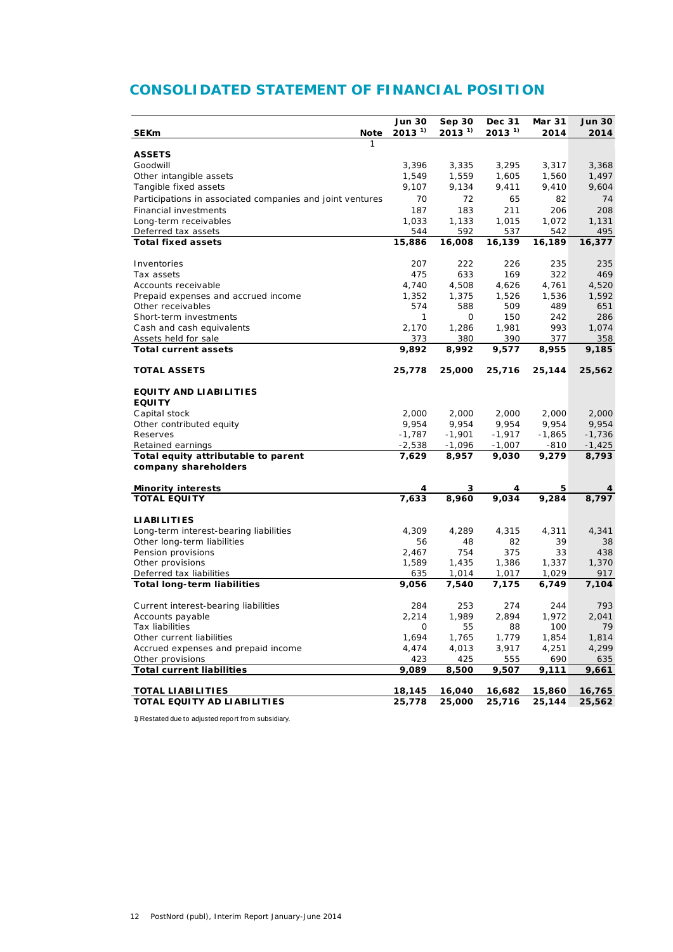## **CONSOLIDATED STATEMENT OF FINANCIAL POSITION**

|                                                           | <b>Jun 30</b> | Sep 30     | Dec 31     | <b>Mar 31</b> | <b>Jun 30</b> |
|-----------------------------------------------------------|---------------|------------|------------|---------------|---------------|
| <b>SEKm</b><br>Note                                       | $2013^{1}$    | $2013^{1}$ | $2013^{1}$ | 2014          | 2014          |
| 1                                                         |               |            |            |               |               |
| <b>ASSETS</b>                                             |               |            |            |               |               |
| Goodwill                                                  | 3,396         | 3,335      | 3,295      | 3,317         | 3,368         |
| Other intangible assets                                   | 1,549         | 1,559      | 1,605      | 1,560         | 1,497         |
| Tangible fixed assets                                     | 9,107         | 9,134      | 9,411      | 9,410         | 9,604         |
| Participations in associated companies and joint ventures | 70            | 72         | 65         | 82            | 74            |
| <b>Financial investments</b>                              | 187           | 183        | 211        | 206           | 208           |
| Long-term receivables                                     | 1,033         | 1,133      | 1,015      | 1,072         | 1,131         |
| Deferred tax assets                                       | 544           | 592        | 537        | 542           | 495           |
| <b>Total fixed assets</b>                                 | 15,886        | 16,008     | 16,139     | 16,189        | 16,377        |
|                                                           |               |            |            |               |               |
| Inventories                                               | 207           | 222        | 226        | 235           | 235           |
| Tax assets                                                | 475           | 633        | 169        | 322           | 469           |
| Accounts receivable                                       | 4,740         | 4,508      | 4,626      | 4,761         | 4,520         |
| Prepaid expenses and accrued income                       | 1,352         | 1,375      | 1,526      | 1,536         | 1,592         |
| Other receivables                                         | 574           | 588        | 509        | 489           | 651           |
| Short-term investments                                    | 1             | 0          | 150        | 242           | 286           |
| Cash and cash equivalents                                 | 2,170         | 1,286      | 1,981      | 993           | 1,074         |
| Assets held for sale                                      | 373           | 380        | 390        | 377           | 358           |
| <b>Total current assets</b>                               | 9,892         | 8,992      | 9,577      | 8,955         | 9,185         |
| <b>TOTAL ASSETS</b>                                       |               | 25,000     |            |               |               |
|                                                           | 25,778        |            | 25,716     | 25,144        | 25,562        |
| <b>EQUITY AND LIABILITIES</b>                             |               |            |            |               |               |
| <b>EQUITY</b>                                             |               |            |            |               |               |
| Capital stock                                             | 2,000         | 2,000      | 2,000      | 2,000         | 2,000         |
| Other contributed equity                                  | 9,954         | 9,954      | 9,954      | 9,954         | 9,954         |
| Reserves                                                  | $-1,787$      | $-1,901$   | $-1,917$   | $-1,865$      | $-1,736$      |
| Retained earnings                                         | $-2,538$      | $-1,096$   | $-1,007$   | $-810$        | $-1,425$      |
| Total equity attributable to parent                       | 7,629         | 8,957      | 9,030      | 9,279         | 8,793         |
| company shareholders                                      |               |            |            |               |               |
|                                                           |               |            |            |               |               |
| <b>Minority interests</b>                                 | 4             | 3          | 4          | 5             | 4             |
| <b>TOTAL EQUITY</b>                                       | 7,633         | 8,960      | 9,034      | 9,284         | 8,797         |
|                                                           |               |            |            |               |               |
| <b>LIABILITIES</b>                                        |               |            |            |               |               |
| Long-term interest-bearing liabilities                    | 4,309         | 4,289      | 4,315      | 4,311         | 4,341         |
| Other long-term liabilities                               | 56            | 48         | 82         | 39            | 38            |
| Pension provisions                                        | 2,467         | 754        | 375        | 33            | 438           |
| Other provisions                                          | 1,589         | 1,435      | 1,386      | 1,337         | 1,370         |
| Deferred tax liabilities                                  | 635           | 1,014      | 1,017      | 1,029         | 917           |
| <b>Total long-term liabilities</b>                        | 9,056         | 7,540      | 7,175      | 6,749         | 7,104         |
|                                                           |               |            |            |               |               |
| Current interest-bearing liabilities                      | 284           | 253        | 274        | 244           | 793           |
| Accounts payable                                          | 2,214         | 1,989      | 2,894      | 1,972         | 2,041         |
| Tax liabilities                                           | 0             | 55         | 88         | 100           | 79            |
| Other current liabilities                                 | 1,694         | 1,765      | 1,779      | 1,854         | 1,814         |
| Accrued expenses and prepaid income                       | 4,474         | 4,013      | 3,917      | 4,251         | 4,299         |
| Other provisions                                          | 423           | 425        | 555        | 690           | 635           |
| <b>Total current liabilities</b>                          | 9,089         | 8,500      | 9,507      | 9,111         | 9,661         |
| <b>TOTAL LIABILITIES</b>                                  | 18,145        | 16,040     | 16,682     | 15,860        | 16,765        |
| TOTAL EQUITY AD LIABILITIES                               | 25,778        | 25,000     | 25,716     | 25,144        | 25,562        |
|                                                           |               |            |            |               |               |

1) Restated due to adjusted report from subsidiary.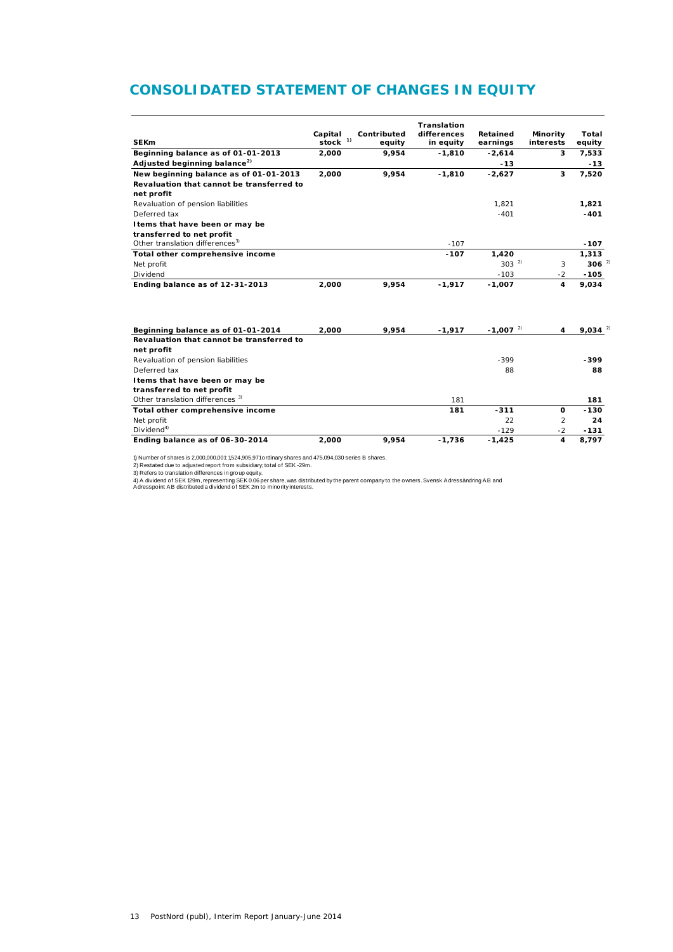### **CONSOLIDATED STATEMENT OF CHANGES IN EQUITY**

|                                             |            |             | <b>Translation</b> |                        |                |             |
|---------------------------------------------|------------|-------------|--------------------|------------------------|----------------|-------------|
|                                             | Capital    | Contributed | differences        | Retained               | Minority       | Total       |
| <b>SEKm</b>                                 | stock $1)$ | equity      | in equity          | earnings               | interests      | equity      |
| Beginning balance as of 01-01-2013          | 2,000      | 9,954       | $-1,810$           | $-2,614$               | 3              | 7,533       |
| Adjusted beginning balance <sup>2)</sup>    |            |             |                    | $-13$                  |                | $-13$       |
| New beginning balance as of 01-01-2013      | 2,000      | 9,954       | $-1.810$           | $-2.627$               | 3              | 7,520       |
| Revaluation that cannot be transferred to   |            |             |                    |                        |                |             |
| net profit                                  |            |             |                    |                        |                |             |
| Revaluation of pension liabilities          |            |             |                    | 1.821                  |                | 1,821       |
| Deferred tax                                |            |             |                    | $-401$                 |                | $-401$      |
| I tems that have been or may be             |            |             |                    |                        |                |             |
| transferred to net profit                   |            |             |                    |                        |                |             |
| Other translation differences <sup>3)</sup> |            |             | $-107$             |                        |                | $-107$      |
| Total other comprehensive income            |            |             | $-107$             | 1.420                  |                | 1,313       |
| Net profit                                  |            |             |                    | $303^{2}$              | 3              | $306^{2}$   |
| Dividend                                    |            |             |                    | $-103$                 | $-2$           | $-105$      |
| Ending balance as of 12-31-2013             | 2.000      | 9,954       | $-1.917$           | $-1,007$               | 4              | 9,034       |
|                                             |            |             |                    |                        |                |             |
| Beginning balance as of 01-01-2014          | 2.000      | 9.954       | $-1,917$           | $-1,007$ <sup>2)</sup> | 4              | $9,034^{2}$ |
| Revaluation that cannot be transferred to   |            |             |                    |                        |                |             |
| net profit                                  |            |             |                    |                        |                |             |
| Revaluation of pension liabilities          |            |             |                    | $-399$                 |                | $-399$      |
| Deferred tax                                |            |             |                    | 88                     |                | 88          |
| I tems that have been or may be             |            |             |                    |                        |                |             |
| transferred to net profit                   |            |             |                    |                        |                |             |
| Other translation differences <sup>3)</sup> |            |             | 181                |                        |                | 181         |
| Total other comprehensive income            |            |             | 181                | $-311$                 | $\Omega$       | $-130$      |
| Net profit                                  |            |             |                    | 22                     | $\mathfrak{p}$ | 24          |
| Dividend <sup>4</sup>                       |            |             |                    | $-129$                 | $-2$           | $-131$      |
| Ending balance as of 06-30-2014             | 2,000      | 9,954       | $-1,736$           | $-1,425$               | 4              | 8,797       |

1) Number of shares is 2,000,000,001: 1,524,905,971 ordinary shares and 475,094,030 series B shares.

2) Restated due to adjusted report from subsidiary; total of SEK -29m.<br>3) Refers to translation differences in group equity.<br>4) A dividend of SEK 129m, representing SEK 0.06 per share, was distributed by the parent company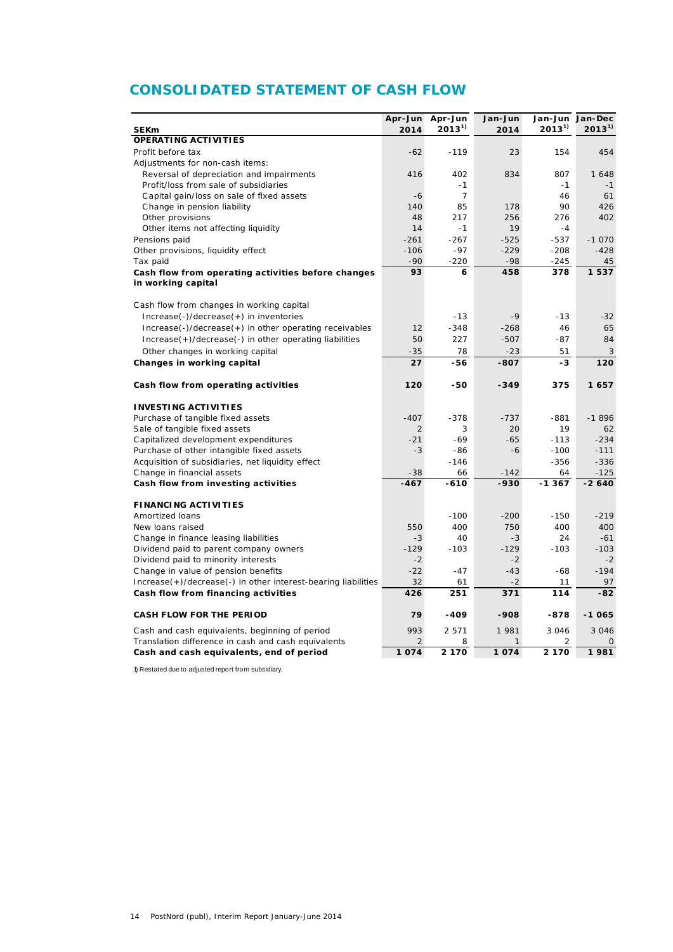### **CONSOLIDATED STATEMENT OF CASH FLOW**

|                                                                          |        | Apr-Jun Apr-Jun        | Jan-Jun      |            | Jan-Jun Jan-Dec |
|--------------------------------------------------------------------------|--------|------------------------|--------------|------------|-----------------|
| <b>SEKm</b>                                                              | 2014   | $2013^{1}$             | 2014         | $2013^{1}$ | $2013^{1}$      |
| OPERATING ACTIVITIES                                                     |        |                        |              |            |                 |
| Profit before tax                                                        | $-62$  | $-119$                 | 23           | 154        | 454             |
| Adjustments for non-cash items:                                          |        |                        |              |            |                 |
| Reversal of depreciation and impairments                                 | 416    | 402                    | 834          | 807        | 1 648           |
| Profit/loss from sale of subsidiaries                                    | $-6$   | $-1$<br>$\overline{7}$ |              | $-1$<br>46 | $-1$<br>61      |
| Capital gain/loss on sale of fixed assets                                | 140    | 85                     | 178          | 90         | 426             |
| Change in pension liability<br>Other provisions                          | 48     | 217                    | 256          | 276        | 402             |
| Other items not affecting liquidity                                      | 14     | $-1$                   | 19           | $-4$       |                 |
| Pensions paid                                                            | $-261$ | $-267$                 | $-525$       | $-537$     | $-1070$         |
|                                                                          | $-106$ | $-97$                  | $-229$       | $-208$     | $-428$          |
| Other provisions, liquidity effect                                       | $-90$  |                        | $-98$        | $-245$     |                 |
| Tax paid                                                                 | 93     | $-220$<br>6            | 458          | 378        | 45<br>1537      |
| Cash flow from operating activities before changes<br>in working capital |        |                        |              |            |                 |
|                                                                          |        |                        |              |            |                 |
| Cash flow from changes in working capital                                |        |                        |              |            |                 |
| Increase(-)/decrease(+) in inventories                                   |        | $-13$                  | $-9$         | $-13$      | $-32$           |
|                                                                          |        |                        |              |            |                 |
| $Increase(-)/decrease(+)$ in other operating receivables                 | 12     | $-348$                 | $-268$       | 46         | 65              |
| Increase(+)/decrease(-) in other operating liabilities                   | 50     | 227                    | $-507$       | $-87$      | 84              |
| Other changes in working capital                                         | $-35$  | 78                     | $-23$        | 51         | 3               |
| Changes in working capital                                               | 27     | $-56$                  | $-807$       | -3         | 120             |
| Cash flow from operating activities                                      | 120    | -50                    | $-349$       | 375        | 1657            |
| <b>INVESTING ACTIVITIES</b>                                              |        |                        |              |            |                 |
| Purchase of tangible fixed assets                                        | $-407$ | $-378$                 | $-737$       | $-881$     | $-1896$         |
| Sale of tangible fixed assets                                            | 2      | 3                      | 20           | 19         | 62              |
| Capitalized development expenditures                                     | $-21$  | $-69$                  | $-65$        | $-113$     | $-234$          |
| Purchase of other intangible fixed assets                                | $-3$   | -86                    | $-6$         | $-100$     | $-111$          |
| Acquisition of subsidiaries, net liquidity effect                        |        | $-146$                 |              | $-356$     | $-336$          |
| Change in financial assets                                               | $-38$  | 66                     | $-142$       | 64         | $-125$          |
| Cash flow from investing activities                                      | $-467$ | $-610$                 | $-930$       | -1367      | $-2640$         |
| <b>FINANCING ACTIVITIES</b>                                              |        |                        |              |            |                 |
| Amortized Ioans                                                          |        | $-100$                 | $-200$       | $-150$     | $-219$          |
| New loans raised                                                         | 550    | 400                    | 750          | 400        | 400             |
| Change in finance leasing liabilities                                    | $-3$   | 40                     | $-3$         | 24         | $-61$           |
| Dividend paid to parent company owners                                   | $-129$ | $-103$                 | $-129$       | $-103$     | $-103$          |
| Dividend paid to minority interests                                      | $-2$   |                        | $-2$         |            | $-2$            |
| Change in value of pension benefits                                      | $-22$  | $-47$                  | $-43$        | -68        | $-194$          |
| Increase(+)/decrease(-) in other interest-bearing liabilities            | 32     | 61                     | $-2$         | 11         | 97              |
| Cash flow from financing activities                                      | 426    | 251                    | 371          | 114        | $-82$           |
| <b>CASH FLOW FOR THE PERIOD</b>                                          | 79     | $-409$                 | $-908$       | $-878$     | $-1065$         |
| Cash and cash equivalents, beginning of period                           | 993    | 2 5 7 1                | 1 981        | 3 0 4 6    | 3 0 4 6         |
| Translation difference in cash and cash equivalents                      | 2      | 8                      | $\mathbf{1}$ | 2          | 0               |
| Cash and cash equivalents, end of period                                 | 1074   | 2 170                  | 1074         | 2 1 7 0    | 1981            |

1) Restated due to adjusted report from subsidiary.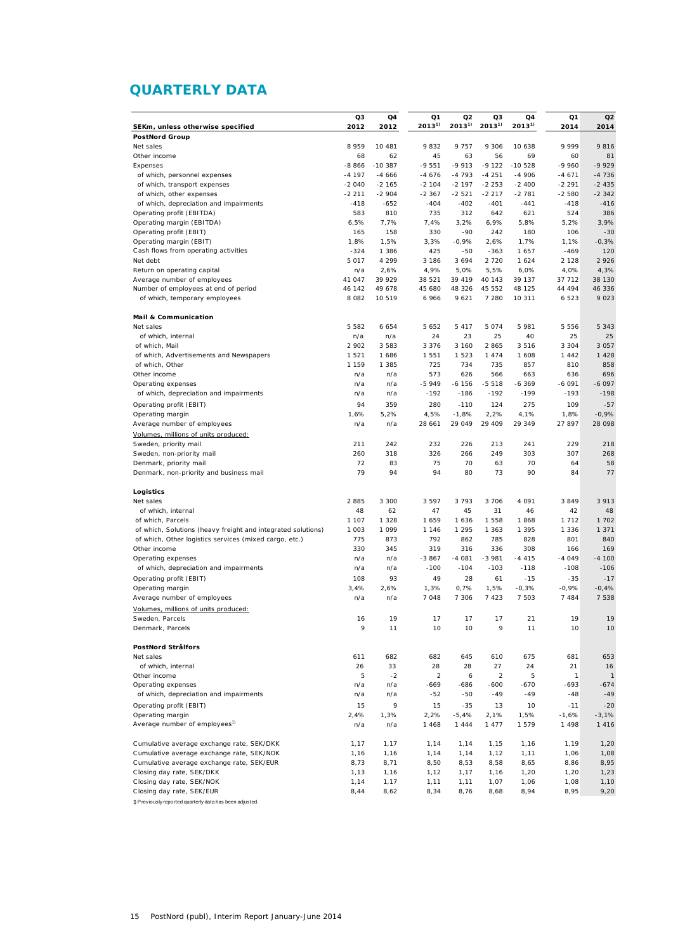### **QUARTERLY DATA**

|                                                              | Q3             | Q4                 | Q1              | Q2              | Q3              | Q4              | Q1              | Q <sub>2</sub> |
|--------------------------------------------------------------|----------------|--------------------|-----------------|-----------------|-----------------|-----------------|-----------------|----------------|
| SEKm, unless otherwise specified                             | 2012           | 2012               | $2013^{1}$      | $2013^{1}$      | $2013^{1}$      | $2013^{1}$      | 2014            | 2014           |
| <b>PostNord Group</b>                                        |                |                    |                 |                 |                 |                 |                 |                |
| Net sales                                                    | 8 9 5 9        | 10 481             | 9832            | 9 7 5 7         | 9 3 0 6         | 10 638          | 9 9 9 9         | 9816           |
| Other income                                                 | 68             | 62                 | 45              | 63              | 56              | 69              | 60              | 81             |
| Expenses                                                     | $-8866$        | $-10.387$          | $-9551$         | $-9913$         | $-9122$         | $-10528$        | $-9960$         | $-9929$        |
| of which, personnel expenses                                 | $-4197$        | $-4666$            | $-4676$         | $-4793$         | $-4251$         | $-4906$         | $-4671$         | $-4736$        |
| of which, transport expenses                                 | $-2040$        | $-2.165$           | $-2$ 104        | $-2$ 197        | $-2253$         | $-2400$         | $-2291$         | $-2435$        |
| of which, other expenses                                     | $-2211$        | $-2904$            | $-2367$         | $-2521$         | $-2217$         | $-2781$         | $-2580$         | $-2342$        |
| of which, depreciation and impairments                       | $-418$         | $-652$             | $-404$          | $-402$          | $-401$          | $-441$          | $-418$          | $-416$         |
| Operating profit (EBITDA)                                    | 583            | 810                | 735             | 312             | 642             | 621             | 524             | 386            |
| Operating margin (EBITDA)                                    | 6,5%           | 7,7%               | 7,4%            | 3,2%            | 6,9%            | 5,8%            | 5,2%            | 3,9%           |
| Operating profit (EBIT)                                      | 165            | 158                | 330             | $-90$           | 242             | 180             | 106             | $-30$          |
| Operating margin (EBIT)                                      | 1,8%           | 1,5%               | 3,3%            | $-0,9%$         | 2,6%            | 1,7%            | 1,1%            | $-0,3%$        |
| Cash flows from operating activities<br>Net debt             | $-324$         | 1 3 8 6<br>4 2 9 9 | 425             | $-50$           | $-363$          | 1657<br>1 6 2 4 | $-469$          | 120<br>2 9 2 6 |
| Return on operating capital                                  | 5 0 1 7<br>n/a | 2,6%               | 3 1 8 6<br>4,9% | 3 6 9 4<br>5,0% | 2 7 2 0<br>5,5% | 6,0%            | 2 1 2 8<br>4,0% | 4,3%           |
| Average number of employees                                  | 41 047         | 39 929             | 38 521          | 39 419          | 40 143          | 39 137          | 37 712          | 38 130         |
| Number of employees at end of period                         | 46 142         | 49 678             | 45 680          | 48 326          | 45 552          | 48 125          | 44 494          | 46 336         |
| of which, temporary employees                                | 8 0 8 2        | 10 519             | 6966            | 9 6 21          | 7 2 8 0         | 10 311          | 6 5 2 3         | 9023           |
|                                                              |                |                    |                 |                 |                 |                 |                 |                |
| <b>Mail &amp; Communication</b>                              |                |                    |                 |                 |                 |                 |                 |                |
| Net sales                                                    | 5 5 8 2        | 6 6 5 4            | 5 6 5 2         | 5417            | 5 0 7 4         | 5 981           | 5 5 5 6         | 5 3 4 3        |
| of which, internal                                           | n/a            | n/a                | 24              | 23              | 25              | 40              | 25              | 25             |
| of which, Mail                                               | 2 902          | 3 5 8 3            | 3 3 7 6         | 3 1 6 0         | 2865            | 3516            | 3 3 0 4         | 3 0 5 7        |
| of which, Advertisements and Newspapers                      | 1 5 2 1        | 1686               | 1 5 5 1         | 1 5 2 3         | 1474            | 1 608           | 1 4 4 2         | 1428           |
| of which, Other                                              | 1 1 5 9        | 1 3 8 5            | 725             | 734             | 735             | 857             | 810             | 858            |
| Other income                                                 | n/a            | n/a                | 573             | 626             | 566             | 663             | 636             | 696            |
| Operating expenses                                           | n/a            | n/a                | $-5949$         | $-6$ 156        | $-5518$         | $-6.369$        | $-6091$         | $-6097$        |
| of which, depreciation and impairments                       | n/a            | n/a                | $-192$          | $-186$          | $-192$          | $-199$          | $-193$          | $-198$         |
| Operating profit (EBIT)                                      | 94             | 359                | 280             | $-110$          | 124             | 275             | 109             | $-57$          |
| Operating margin                                             | 1,6%           | 5,2%               | 4,5%            | $-1,8%$         | 2,2%            | 4,1%            | 1,8%            | $-0,9%$        |
| Average number of employees                                  | n/a            | n/a                | 28 661          | 29 049          | 29 409          | 29 349          | 27 897          | 28 098         |
| Volumes, millions of units produced:                         |                |                    |                 |                 |                 |                 |                 |                |
| Sweden, priority mail                                        | 211            | 242                | 232             | 226             | 213             | 241             | 229             | 218            |
| Sweden, non-priority mail                                    | 260            | 318                | 326             | 266             | 249             | 303             | 307             | 268            |
| Denmark, priority mail                                       | 72             | 83                 | 75              | 70              | 63              | 70              | 64              | 58             |
| Denmark, non-priority and business mail                      | 79             | 94                 | 94              | 80              | 73              | 90              | 84              | 77             |
|                                                              |                |                    |                 |                 |                 |                 |                 |                |
| Logistics<br>Net sales                                       | 2 8 8 5        |                    |                 | 3 7 9 3         | 3 7 0 6         | 4 0 9 1         | 3849            | 3 9 1 3        |
| of which, internal                                           | 48             | 3 3 0 0<br>62      | 3 5 9 7<br>47   | 45              | 31              | 46              | 42              | 48             |
| of which, Parcels                                            | 1 107          | 1 3 2 8            | 1 659           | 1636            | 1 5 5 8         | 1868            | 1 7 1 2         | 1 702          |
| of which, Solutions (heavy freight and integrated solutions) | 1 0 0 3        | 1 0 9 9            | 1 1 4 6         | 1 2 9 5         | 1 363           | 1 3 9 5         | 1 3 3 6         | 1 3 7 1        |
| of which, Other logistics services (mixed cargo, etc.)       | 775            | 873                | 792             | 862             | 785             | 828             | 801             | 840            |
| Other income                                                 | 330            | 345                | 319             | 316             | 336             | 308             | 166             | 169            |
| Operating expenses                                           | n/a            | n/a                | $-3867$         | $-4081$         | $-3981$         | $-4415$         | $-4049$         | $-4100$        |
| of which, depreciation and impairments                       | n/a            | n/a                | $-100$          | $-104$          | $-103$          | $-118$          | $-108$          | $-106$         |
| Operating profit (EBIT)                                      | 108            | 93                 | 49              | 28              | 61              | $-15$           | $-35$           | $-17$          |
| Operating margin                                             | 3,4%           | 2,6%               | 1,3%            | 0,7%            | 1,5%            | $-0,3%$         | -0,9%           | $-0,4%$        |
| Average number of employees                                  | n/a            | n/a                | 7048            | 7 3 0 6         | 7423            | 7 503           | 7 4 8 4         | 7 5 3 8        |
| Volumes, millions of units produced:                         |                |                    |                 |                 |                 |                 |                 |                |
| Sweden, Parcels                                              | 16             | 19                 | 17              | 17              | 17              | 21              | 19              | 19             |
| Denmark, Parcels                                             | 9              | 11                 | 10              | 10              | 9               | 11              | 10              | 10             |
|                                                              |                |                    |                 |                 |                 |                 |                 |                |
| PostNord Strålfors                                           |                |                    |                 |                 |                 |                 |                 |                |
| Net sales                                                    | 611            | 682                | 682             | 645             | 610             | 675             | 681             | 653            |
| of which, internal                                           | 26             | 33                 | 28              | 28              | 27              | 24              | 21              | 16             |
| Other income                                                 | 5              | $-2$               | $\overline{c}$  | 6               | $\overline{a}$  | 5               | 1               | $\mathbf{1}$   |
| Operating expenses                                           | n/a            | n/a                | -669            | -686            | $-600$          | -670            | $-693$          | $-674$         |
| of which, depreciation and impairments                       | n/a            | n/a                | $-52$           | -50             | $-49$           | $-49$           | $-48$           | $-49$          |
| Operating profit (EBIT)                                      | 15             | 9                  | 15              | $-35$           | 13              | 10              | $-11$           | $-20$          |
| Operating margin                                             | 2,4%           | 1,3%               | 2,2%            | $-5,4%$         | 2,1%            | 1,5%            | $-1,6%$         | $-3,1%$        |
| Average number of employees <sup>1)</sup>                    | n/a            | n/a                | 1 4 6 8         | 1 4 4 4         | 1477            | 1579            | 1 4 9 8         | 1 4 1 6        |
|                                                              |                |                    |                 |                 |                 |                 |                 |                |
| Cumulative average exchange rate, SEK/DKK                    | 1,17           | 1,17               | 1,14            | 1,14            | 1,15            | 1,16            | 1,19            | 1,20           |
| Cumulative average exchange rate, SEK/NOK                    | 1,16           | 1,16               | 1,14            | 1,14            | 1,12            | 1,11            | 1,06            | 1,08           |
| Cumulative average exchange rate, SEK/EUR                    | 8,73           | 8,71               | 8,50            | 8,53            | 8,58            | 8,65            | 8,86            | 8,95           |
| Closing day rate, SEK/DKK<br>Closing day rate, SEK/NOK       | 1,13<br>1,14   | 1,16               | 1,12            | 1,17            | 1,16            | 1,20            | 1,20<br>1,08    | 1,23<br>1,10   |
| Closing day rate, SEK/EUR                                    | 8,44           | 1,17<br>8,62       | 1,11<br>8,34    | 1,11<br>8,76    | 1,07<br>8,68    | 1,06<br>8,94    | 8,95            | 9,20           |
| 1) P reviously reported quarterly data has been adjusted.    |                |                    |                 |                 |                 |                 |                 |                |
|                                                              |                |                    |                 |                 |                 |                 |                 |                |

15 PostNord (publ), Interim Report January-June 2014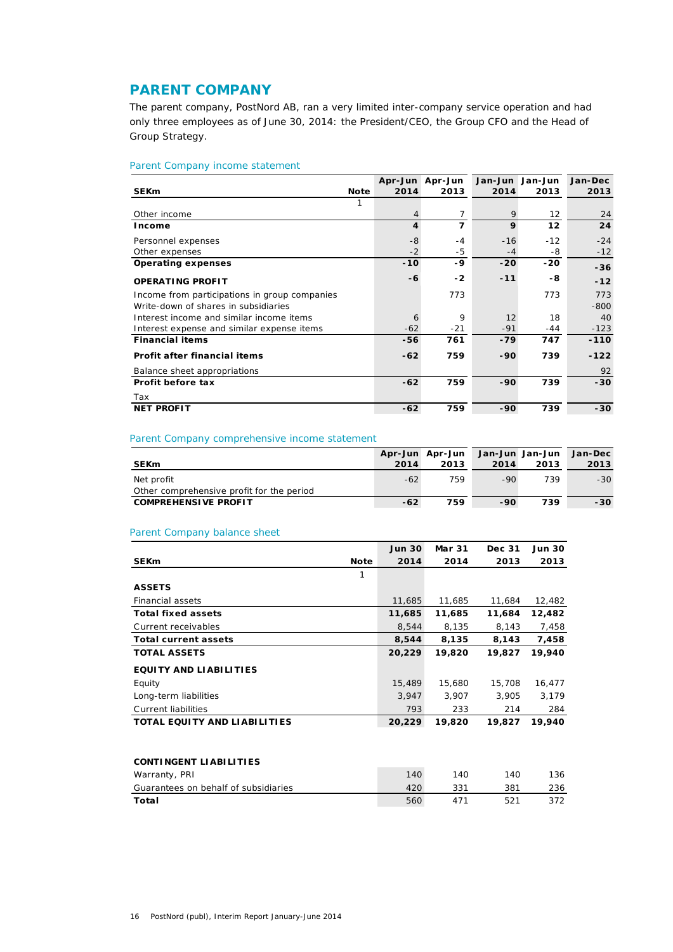### **PARENT COMPANY**

The parent company, PostNord AB, ran a very limited inter-company service operation and had only three employees as of June 30, 2014: the President/CEO, the Group CFO and the Head of Group Strategy.

### Parent Company income statement

|                                               |      |                         | Apr-Jun Apr-Jun | Jan-Jun Jan-Jun   |                   | Jan-Dec |
|-----------------------------------------------|------|-------------------------|-----------------|-------------------|-------------------|---------|
| <b>SEKm</b>                                   | Note | 2014                    | 2013            | 2014              | 2013              | 2013    |
|                                               | 1    |                         |                 |                   |                   |         |
| Other income                                  |      | $\overline{4}$          | 7               | 9                 | $12 \overline{ }$ | 24      |
| Income                                        |      | $\overline{\mathbf{4}}$ | 7               | 9                 | 12                | 24      |
| Personnel expenses                            |      | $-8$                    | $-4$            | $-16$             | $-12$             | $-24$   |
| Other expenses                                |      | $-2$                    | -5              | $-4$              | -8                | $-12$   |
| <b>Operating expenses</b>                     |      | $-10$                   | $-9$            | $-20$             | $-20$             | $-36$   |
| <b>OPERATING PROFIT</b>                       |      | -6                      | $-2$            | $-11$             | -8                | $-12$   |
| Income from participations in group companies |      |                         | 773             |                   | 773               | 773     |
| Write-down of shares in subsidiaries          |      |                         |                 |                   |                   | $-800$  |
| Interest income and similar income items      |      | 6                       | 9               | $12 \overline{ }$ | 18                | 40      |
| Interest expense and similar expense items    |      | $-62$                   | -21             | $-91$             | $-44$             | $-123$  |
| <b>Financial items</b>                        |      | -56                     | 761             | $-79$             | 747               | $-110$  |
| Profit after financial items                  |      | $-62$                   | 759             | $-90$             | 739               | $-122$  |
| Balance sheet appropriations                  |      |                         |                 |                   |                   | 92      |
| Profit before tax                             |      | $-62$                   | 759             | $-90$             | 739               | $-30$   |
| Tax                                           |      |                         |                 |                   |                   |         |
| <b>NET PROFIT</b>                             |      | $-62$                   | 759             | $-90$             | 739               | $-30$   |

### Parent Company comprehensive income statement

|                                                         |       | Apr-Jun Apr-Jun | Jan-Jun Jan-Jun |      | Jan-Dec |
|---------------------------------------------------------|-------|-----------------|-----------------|------|---------|
| <b>SEKm</b>                                             | 2014  | 2013            | 2014            | 2013 | 2013    |
| Net profit<br>Other comprehensive profit for the period | $-62$ | 759             | $-90$           | 739  | $-30$   |
| <b>COMPREHENSIVE PROFIT</b>                             | $-62$ | 759             | -90             | 739  | -30     |

### Parent Company balance sheet

|                                      | <b>Jun 30</b> | <b>Mar 31</b> | Dec 31 | <b>Jun 30</b> |
|--------------------------------------|---------------|---------------|--------|---------------|
| <b>SEKm</b><br><b>Note</b>           | 2014          | 2014          | 2013   | 2013          |
| 1                                    |               |               |        |               |
| <b>ASSETS</b>                        |               |               |        |               |
| <b>Financial assets</b>              | 11,685        | 11,685        | 11,684 | 12,482        |
| <b>Total fixed assets</b>            | 11,685        | 11,685        | 11,684 | 12,482        |
| Current receivables                  | 8,544         | 8,135         | 8,143  | 7,458         |
| <b>Total current assets</b>          | 8,544         | 8,135         | 8,143  | 7,458         |
| <b>TOTAL ASSETS</b>                  | 20,229        | 19,820        | 19,827 | 19,940        |
| <b>EQUITY AND LIABILITIES</b>        |               |               |        |               |
| Equity                               | 15,489        | 15,680        | 15,708 | 16,477        |
| Long-term liabilities                | 3,947         | 3,907         | 3,905  | 3,179         |
| Current liabilities                  | 793           | 233           | 214    | 284           |
| <b>TOTAL EQUITY AND LIABILITIES</b>  | 20,229        | 19,820        | 19,827 | 19,940        |
|                                      |               |               |        |               |
| <b>CONTINGENT LIABILITIES</b>        |               |               |        |               |
| Warranty, PRI                        | 140           | 140           | 140    | 136           |
| Guarantees on behalf of subsidiaries | 420           | 331           | 381    | 236           |
| Total                                | 560           | 471           | 521    | 372           |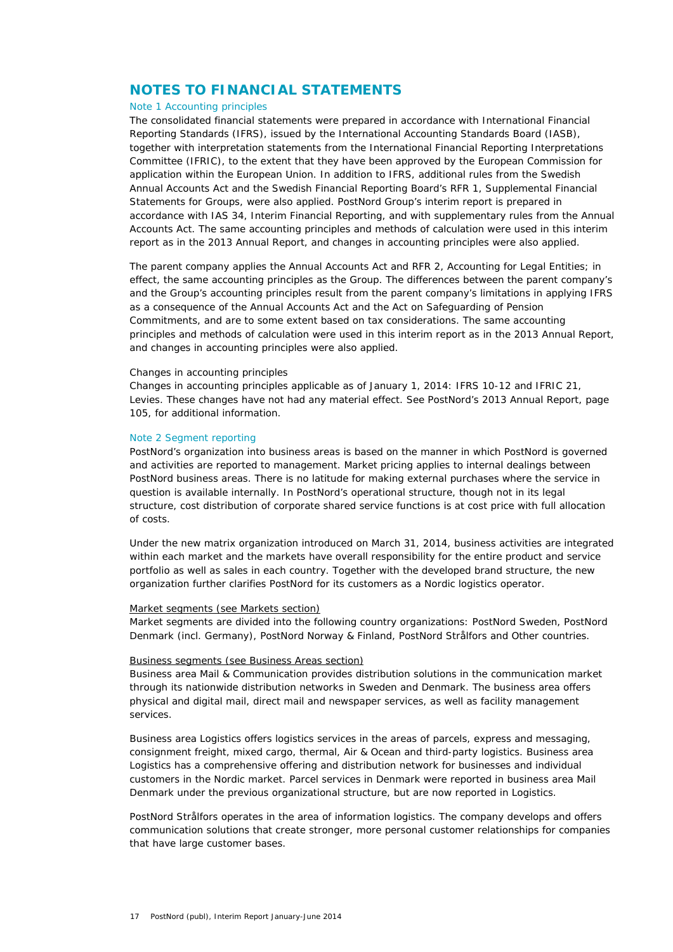### **NOTES TO FINANCIAL STATEMENTS**

### Note 1 Accounting principles

The consolidated financial statements were prepared in accordance with International Financial Reporting Standards (IFRS), issued by the International Accounting Standards Board (IASB), together with interpretation statements from the International Financial Reporting Interpretations Committee (IFRIC), to the extent that they have been approved by the European Commission for application within the European Union. In addition to IFRS, additional rules from the Swedish Annual Accounts Act and the Swedish Financial Reporting Board's RFR 1, Supplemental Financial Statements for Groups, were also applied. PostNord Group's interim report is prepared in accordance with IAS 34, Interim Financial Reporting, and with supplementary rules from the Annual Accounts Act. The same accounting principles and methods of calculation were used in this interim report as in the 2013 Annual Report, and changes in accounting principles were also applied.

The parent company applies the Annual Accounts Act and RFR 2, Accounting for Legal Entities; in effect, the same accounting principles as the Group. The differences between the parent company's and the Group's accounting principles result from the parent company's limitations in applying IFRS as a consequence of the Annual Accounts Act and the Act on Safeguarding of Pension Commitments, and are to some extent based on tax considerations. The same accounting principles and methods of calculation were used in this interim report as in the 2013 Annual Report, and changes in accounting principles were also applied.

#### *Changes in accounting principles*

Changes in accounting principles applicable as of January 1, 2014: IFRS 10-12 and IFRIC 21, Levies. These changes have not had any material effect. See PostNord's 2013 Annual Report, page 105, for additional information.

### Note 2 Segment reporting

PostNord's organization into business areas is based on the manner in which PostNord is governed and activities are reported to management. Market pricing applies to internal dealings between PostNord business areas. There is no latitude for making external purchases where the service in question is available internally. In PostNord's operational structure, though not in its legal structure, cost distribution of corporate shared service functions is at cost price with full allocation of costs.

Under the new matrix organization introduced on March 31, 2014, business activities are integrated within each market and the markets have overall responsibility for the entire product and service portfolio as well as sales in each country. Together with the developed brand structure, the new organization further clarifies PostNord for its customers as a Nordic logistics operator.

#### *Market segments (see Markets section)*

Market segments are divided into the following country organizations: PostNord Sweden, PostNord Denmark (incl. Germany), PostNord Norway & Finland, PostNord Strålfors and Other countries.

### *Business segments (see Business Areas section)*

*Business area Mail & Communication* provides distribution solutions in the communication market through its nationwide distribution networks in Sweden and Denmark. The business area offers physical and digital mail, direct mail and newspaper services, as well as facility management services.

*Business area Logistics* offers logistics services in the areas of parcels, express and messaging, consignment freight, mixed cargo, thermal, Air & Ocean and third-party logistics. Business area Logistics has a comprehensive offering and distribution network for businesses and individual customers in the Nordic market. Parcel services in Denmark were reported in business area Mail Denmark under the previous organizational structure, but are now reported in Logistics.

*PostNord Strålfors* operates in the area of information logistics. The company develops and offers communication solutions that create stronger, more personal customer relationships for companies that have large customer bases.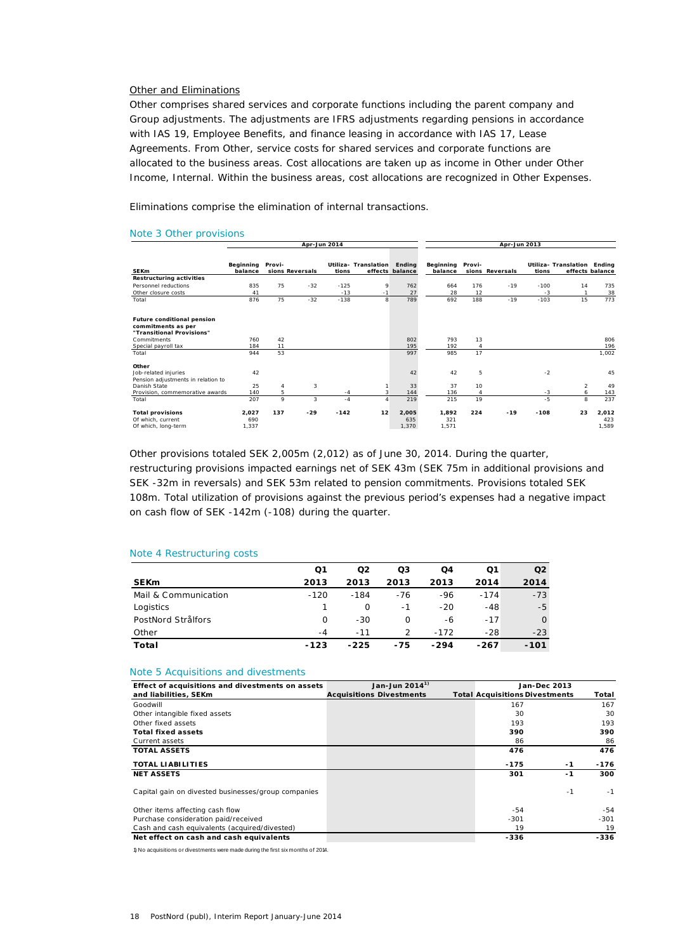#### *Other and Eliminations*

*Other* comprises shared services and corporate functions including the parent company and Group adjustments. The adjustments are IFRS adjustments regarding pensions in accordance with IAS 19, Employee Benefits, and finance leasing in accordance with IAS 17, Lease Agreements. From Other, service costs for shared services and corporate functions are allocated to the business areas. Cost allocations are taken up as income in Other under Other Income, Internal. Within the business areas, cost allocations are recognized in Other Expenses.

*Eliminations* comprise the elimination of internal transactions.

#### Note 3 Other provisions

|                                                                                      | Apr-Jun 2014          |        |                 | Apr-Jun 2013 |                      |                           |                       |                |                 |        |                             |                       |
|--------------------------------------------------------------------------------------|-----------------------|--------|-----------------|--------------|----------------------|---------------------------|-----------------------|----------------|-----------------|--------|-----------------------------|-----------------------|
| <b>SEKm</b>                                                                          | Beginning<br>balance  | Provi- | sions Reversals | tions        | Utiliza- Translation | Ending<br>effects balance | Beginning<br>balance  | Provi-         | sions Reversals | tions  | Utiliza- Translation Ending | effects balance       |
| <b>Restructuring activities</b>                                                      |                       |        |                 |              |                      |                           |                       |                |                 |        |                             |                       |
| Personnel reductions                                                                 | 835                   | 75     | $-32$           | $-125$       | 9                    | 762                       | 664                   | 176            | $-19$           | $-100$ | 14                          | 735                   |
| Other closure costs                                                                  | 41                    |        |                 | $-13$        | $-1$                 | 27                        | 28                    | 12             |                 | $-3$   |                             | 38                    |
| Total                                                                                | 876                   | 75     | $-32$           | $-138$       | 8                    | 789                       | 692                   | 188            | $-19$           | $-103$ | 15                          | 773                   |
| <b>Future conditional pension</b><br>commitments as per<br>"Transitional Provisions" |                       |        |                 |              |                      |                           |                       |                |                 |        |                             |                       |
| Commitments                                                                          | 760                   | 42     |                 |              |                      | 802                       | 793                   | 13             |                 |        |                             | 806                   |
| Special payroll tax                                                                  | 184                   | 11     |                 |              |                      | 195                       | 192                   |                |                 |        |                             | 196                   |
| Total                                                                                | 944                   | 53     |                 |              |                      | 997                       | 985                   | 17             |                 |        |                             | 1,002                 |
| Other<br>Job-related injuries<br>Pension adjustments in relation to                  | 42                    |        |                 |              |                      | 42                        | 42                    | 5              |                 | $-2$   |                             | 45                    |
| Danish State                                                                         | 25                    | 4      | 3               |              |                      | 33                        | 37                    | 10             |                 |        | $\overline{2}$              | 49                    |
| Provision, commemorative awards                                                      | 140                   | 5      |                 | $-4$         | 3                    | 144                       | 136                   | $\overline{4}$ |                 | $-3$   | 6                           | 143                   |
| Total                                                                                | 207                   | 9      | 3               | $-4$         | 4                    | 219                       | 215                   | 19             |                 | $-5$   | 8                           | 237                   |
| <b>Total provisions</b><br>Of which, current<br>Of which, long-term                  | 2,027<br>690<br>1,337 | 137    | $-29$           | $-142$       | 12                   | 2,005<br>635<br>1,370     | 1,892<br>321<br>1,571 | 224            | $-19$           | $-108$ | 23                          | 2,012<br>423<br>1,589 |

Other provisions totaled SEK 2,005m (2,012) as of June 30, 2014. During the quarter, restructuring provisions impacted earnings net of SEK 43m (SEK 75m in additional provisions and SEK -32m in reversals) and SEK 53m related to pension commitments. Provisions totaled SEK 108m. Total utilization of provisions against the previous period's expenses had a negative impact on cash flow of SEK -142m (-108) during the quarter.

#### Note 4 Restructuring costs

|                      | Q1     | O <sub>2</sub> | Q3            | Q4     | Q1     | O <sub>2</sub> |
|----------------------|--------|----------------|---------------|--------|--------|----------------|
| <b>SEKm</b>          | 2013   | 2013           | 2013          | 2013   | 2014   | 2014           |
| Mail & Communication | $-120$ | $-184$         | $-76$         | -96    | $-174$ | $-73$          |
| Logistics            |        | O              | -1            | $-20$  | $-48$  | $-5$           |
| PostNord Strålfors   | 0      | $-30$          | $\Omega$      | -6     | $-17$  | $\Omega$       |
| Other                | $-4$   | $-11$          | $\mathcal{P}$ | $-172$ | $-28$  | $-23$          |
| Total                | $-123$ | $-225$         | $-75$         | $-294$ | $-267$ | $-101$         |

#### Note 5 Acquisitions and divestments

| Effect of acquisitions and divestments on assets    | Jan-Jun 2014 <sup>1)</sup>      | <b>Jan-Dec 2013</b>                   |        |
|-----------------------------------------------------|---------------------------------|---------------------------------------|--------|
| and liabilities, SEKm                               | <b>Acquisitions Divestments</b> | <b>Total Acquisitions Divestments</b> | Total  |
| Goodwill                                            |                                 | 167                                   | 167    |
| Other intangible fixed assets                       |                                 | 30                                    | 30     |
| Other fixed assets                                  |                                 | 193                                   | 193    |
| <b>Total fixed assets</b>                           |                                 | 390                                   | 390    |
| Current assets                                      |                                 | 86                                    | 86     |
| <b>TOTAL ASSETS</b>                                 |                                 | 476                                   | 476    |
| <b>TOTAL LIABILITIES</b>                            |                                 | $-175$<br>$-1$                        | $-176$ |
| <b>NET ASSETS</b>                                   |                                 | 301<br>$-1$                           | 300    |
| Capital gain on divested businesses/group companies |                                 | $-1$                                  | $-1$   |
| Other items affecting cash flow                     |                                 | -54                                   | -54    |
| Purchase consideration paid/received                |                                 | $-301$                                | -301   |
| Cash and cash equivalents (acquired/divested)       |                                 | 19                                    | 19     |
| Net effect on cash and cash equivalents             |                                 | $-336$                                | $-336$ |

1) No acquisitions or divestments were made during the first six months of 2014.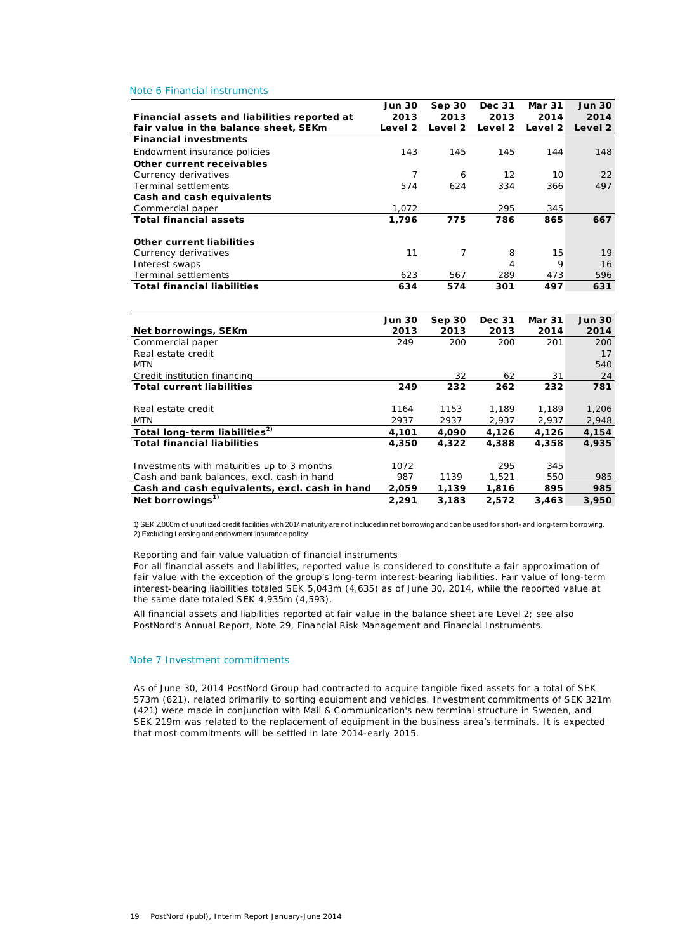#### Note 6 Financial instruments

|                                              | <b>Jun 30</b> | Sep30   | Dec 31  | Mar 31  | <b>Jun 30</b> |
|----------------------------------------------|---------------|---------|---------|---------|---------------|
| Financial assets and liabilities reported at | 2013          | 2013    | 2013    | 2014    | 2014          |
| fair value in the balance sheet, SEKm        | Level 2       | Level 2 | Level 2 | Level 2 | Level 2       |
| <b>Financial investments</b>                 |               |         |         |         |               |
| Endowment insurance policies                 | 143           | 145     | 145     | 144     | 148           |
| Other current receivables                    |               |         |         |         |               |
| Currency derivatives                         | 7             | 6       | 12      | 10      | 22            |
| <b>Terminal settlements</b>                  | 574           | 624     | 334     | 366     | 497           |
| Cash and cash equivalents                    |               |         |         |         |               |
| Commercial paper                             | 1.072         |         | 295     | 345     |               |
| <b>Total financial assets</b>                | 1,796         | 775     | 786     | 865     | 667           |
| <b>Other current liabilities</b>             |               |         |         |         |               |
| Currency derivatives                         | 11            | 7       | 8       | 15      | 19            |
| Interest swaps                               |               |         | 4       | 9       | 16            |
| <b>Terminal settlements</b>                  | 623           | 567     | 289     | 473     | 596           |
| <b>Total financial liabilities</b>           | 634           | 574     | 301     | 497     | 631           |

|                                               | <b>Jun 30</b> | Sep30 | Dec 31 | <b>Mar 31</b> | <b>Jun 30</b> |
|-----------------------------------------------|---------------|-------|--------|---------------|---------------|
| Net borrowings, SEKm                          | 2013          | 2013  | 2013   | 2014          | 2014          |
| Commercial paper                              | 249           | 200   | 200    | 201           | 200           |
| Real estate credit                            |               |       |        |               | 17            |
| MTN                                           |               |       |        |               | 540           |
| Credit institution financing                  |               | 32    | 62     | 31            | 24            |
| <b>Total current liabilities</b>              | 249           | 232   | 262    | 232           | 781           |
|                                               |               |       |        |               |               |
| Real estate credit                            | 1164          | 1153  | 1.189  | 1.189         | 1,206         |
| MTN                                           | 2937          | 2937  | 2,937  | 2,937         | 2,948         |
| Total long-term liabilities <sup>2)</sup>     | 4,101         | 4,090 | 4,126  | 4,126         | 4,154         |
| <b>Total financial liabilities</b>            | 4,350         | 4.322 | 4,388  | 4,358         | 4,935         |
|                                               |               |       |        |               |               |
| Investments with maturities up to 3 months    | 1072          |       | 295    | 345           |               |
| Cash and bank balances, excl. cash in hand    | 987           | 1139  | 1.521  | 550           | 985           |
| Cash and cash equivalents, excl. cash in hand | 2,059         | 1,139 | 1,816  | 895           | 985           |
| Net borrowings <sup>1)</sup>                  | 2,291         | 3.183 | 2.572  | 3.463         | 3,950         |

2) Excluding Leasing and endowment insurance policy 1) SEK 2,000m of unutilized credit facilities with 2017 maturity are not included in net borrowing and can be used for short- and long-term borrowing.

#### *Reporting and fair value valuation of financial instruments*

For all financial assets and liabilities, reported value is considered to constitute a fair approximation of fair value with the exception of the group's long-term interest-bearing liabilities. Fair value of long-term interest-bearing liabilities totaled SEK 5,043m (4,635) as of June 30, 2014, while the reported value at the same date totaled SEK 4,935m (4,593).

All financial assets and liabilities reported at fair value in the balance sheet are Level 2; see also PostNord's Annual Report, Note 29, Financial Risk Management and Financial Instruments.

#### Note 7 Investment commitments

As of June 30, 2014 PostNord Group had contracted to acquire tangible fixed assets for a total of SEK 573m (621), related primarily to sorting equipment and vehicles. Investment commitments of SEK 321m (421) were made in conjunction with Mail & C ommunication's new terminal structure in Sweden, and SEK 219m was related to the replacement of equipment in the business area's terminals. It is expected that most commitments will be settled in late 2014-early 2015.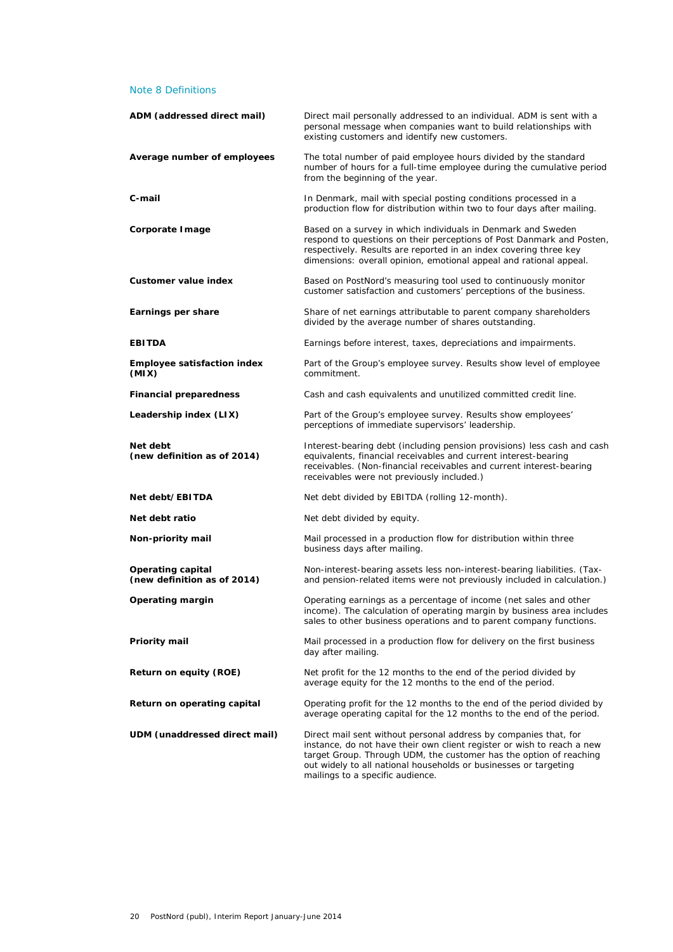### Note 8 Definitions

| ADM (addressed direct mail)                             | Direct mail personally addressed to an individual. ADM is sent with a<br>personal message when companies want to build relationships with<br>existing customers and identify new customers.                                                                                                                              |
|---------------------------------------------------------|--------------------------------------------------------------------------------------------------------------------------------------------------------------------------------------------------------------------------------------------------------------------------------------------------------------------------|
| Average number of employees                             | The total number of paid employee hours divided by the standard<br>number of hours for a full-time employee during the cumulative period<br>from the beginning of the year.                                                                                                                                              |
| C-mail                                                  | In Denmark, mail with special posting conditions processed in a<br>production flow for distribution within two to four days after mailing.                                                                                                                                                                               |
| Corporate Image                                         | Based on a survey in which individuals in Denmark and Sweden<br>respond to questions on their perceptions of Post Danmark and Posten,<br>respectively. Results are reported in an index covering three key<br>dimensions: overall opinion, emotional appeal and rational appeal.                                         |
| Customer value index                                    | Based on PostNord's measuring tool used to continuously monitor<br>customer satisfaction and customers' perceptions of the business.                                                                                                                                                                                     |
| Earnings per share                                      | Share of net earnings attributable to parent company shareholders<br>divided by the average number of shares outstanding.                                                                                                                                                                                                |
| <b>EBITDA</b>                                           | Earnings before interest, taxes, depreciations and impairments.                                                                                                                                                                                                                                                          |
| <b>Employee satisfaction index</b><br>(MIX)             | Part of the Group's employee survey. Results show level of employee<br>commitment.                                                                                                                                                                                                                                       |
| <b>Financial preparedness</b>                           | Cash and cash equivalents and unutilized committed credit line.                                                                                                                                                                                                                                                          |
| Leadership index (LIX)                                  | Part of the Group's employee survey. Results show employees'<br>perceptions of immediate supervisors' leadership.                                                                                                                                                                                                        |
| Net debt<br>(new definition as of 2014)                 | Interest-bearing debt (including pension provisions) less cash and cash<br>equivalents, financial receivables and current interest-bearing<br>receivables. (Non-financial receivables and current interest-bearing<br>receivables were not previously included.)                                                         |
| Net debt/EBITDA                                         | Net debt divided by EBITDA (rolling 12-month).                                                                                                                                                                                                                                                                           |
| Net debt ratio                                          | Net debt divided by equity.                                                                                                                                                                                                                                                                                              |
| Non-priority mail                                       | Mail processed in a production flow for distribution within three<br>business days after mailing.                                                                                                                                                                                                                        |
| <b>Operating capital</b><br>(new definition as of 2014) | Non-interest-bearing assets less non-interest-bearing liabilities. (Tax-<br>and pension-related items were not previously included in calculation.)                                                                                                                                                                      |
| Operating margin                                        | Operating earnings as a percentage of income (net sales and other<br>income). The calculation of operating margin by business area includes<br>sales to other business operations and to parent company functions.                                                                                                       |
| Priority mail                                           | Mail processed in a production flow for delivery on the first business<br>day after mailing.                                                                                                                                                                                                                             |
| Return on equity (ROE)                                  | Net profit for the 12 months to the end of the period divided by<br>average equity for the 12 months to the end of the period.                                                                                                                                                                                           |
| Return on operating capital                             | Operating profit for the 12 months to the end of the period divided by<br>average operating capital for the 12 months to the end of the period.                                                                                                                                                                          |
| UDM (unaddressed direct mail)                           | Direct mail sent without personal address by companies that, for<br>instance, do not have their own client register or wish to reach a new<br>target Group. Through UDM, the customer has the option of reaching<br>out widely to all national households or businesses or targeting<br>mailings to a specific audience. |